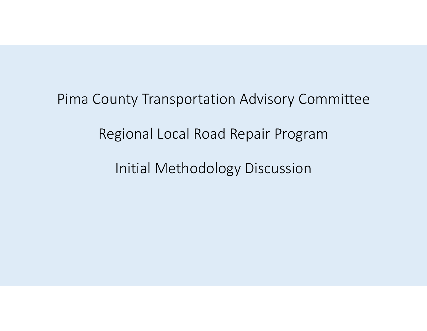Pima County Transportation Advisory Committee Regional Local Road Repair Program

Initial Methodology Discussion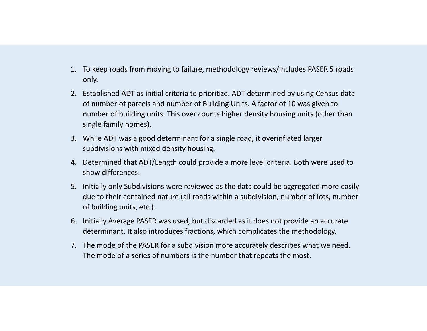- 1. To keep roads from moving to failure, methodology reviews/includes PASER 5 roads only.
- 2. Established ADT as initial criteria to prioritize. ADT determined by using Census data of number of parcels and number of Building Units. A factor of 10 was given to number of building units. This over counts higher density housing units (other than single family homes).
- 3. While ADT was a good determinant for a single road, it overinflated larger subdivisions with mixed density housing.
- 4. Determined that ADT/Length could provide a more level criteria. Both were used to show differences.
- 5. Initially only Subdivisions were reviewed as the data could be aggregated more easily due to their contained nature (all roads within a subdivision, number of lots, number of building units, etc.).
- 6. Initially Average PASER was used, but discarded as it does not provide an accurate determinant. It also introduces fractions, which complicates the methodology.
- 7. The mode of the PASER for a subdivision more accurately describes what we need. The mode of a series of numbers is the number that repeats the most.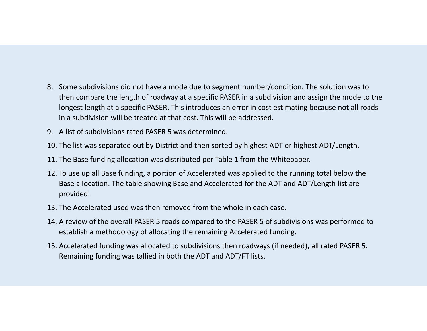- 8. Some subdivisions did not have a mode due to segment number/condition. The solution was to then compare the length of roadway at a specific PASER in a subdivision and assign the mode to the longest length at a specific PASER. This introduces an error in cost estimating because not all roads in a subdivision will be treated at that cost. This will be addressed.
- 9. A list of subdivisions rated PASER 5 was determined.
- 10. The list was separated out by District and then sorted by highest ADT or highest ADT/Length.
- 11. The Base funding allocation was distributed per Table 1 from the Whitepaper.
- 12. To use up all Base funding, a portion of Accelerated was applied to the running total below the Base allocation. The table showing Base and Accelerated for the ADT and ADT/Length list are provided.
- 13. The Accelerated used was then removed from the whole in each case.
- 14. A review of the overall PASER 5 roads compared to the PASER 5 of subdivisions was performed to establish a methodology of allocating the remaining Accelerated funding.
- 15. Accelerated funding was allocated to subdivisions then roadways (if needed), all rated PASER 5. Remaining funding was tallied in both the ADT and ADT/FT lists.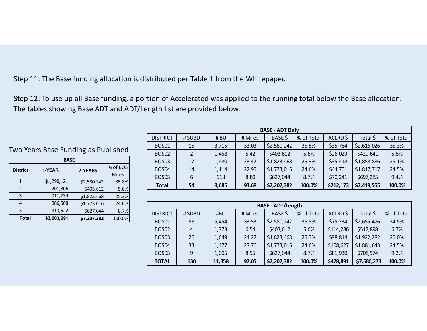Step 11: The Base funding allocation is distributed per Table 1 from the Whitepaper.

Step 12: To use up all Base funding, a portion of Accelerated was applied to the running total below the Base allocation. The tables showing Base ADT and ADT/Length list are provided below.

|                   |        |       |         | <b>UNJL MUI VIIIV</b> |            |           |             |            |
|-------------------|--------|-------|---------|-----------------------|------------|-----------|-------------|------------|
| <b>DISTRICT</b>   | # SUBD | # BU  | # Miles | BASE \$               | % of Total | ACLRD\$   | Total \$    | % of Total |
| BOS <sub>01</sub> | 15     | 3,715 | 33.03   | \$2,580,242           | 35.8%      | \$35,784  | \$2,616,026 | 35.3%      |
| <b>BOS02</b>      |        | 1,458 | 5.42    | \$403,612             | 5.6%       | \$26,029  | \$429,641   | 5.8%       |
| <b>BOS03</b>      | 17     | 1,480 | 23.47   | \$1,823,468           | 25.3%      | \$35,418  | \$1,858,886 | 25.1%      |
| BOS <sub>04</sub> | 14     | 1,114 | 22.95   | \$1,773,016           | 24.6%      | \$44,701  | \$1,817,717 | 24.5%      |
| <b>BOS05</b>      | 6      | 918   | 8.80    | \$627,044             | 8.7%       | \$70,241  | \$697,285   | 9.4%       |
| <b>Total</b>      | 54     | 8,685 | 93.68   | \$7,207,382           | 100.0%     | \$212,173 | \$7,419,555 | 100.0%     |
|                   |        |       |         |                       |            |           |             |            |

**BASE ‐ ADT Only**

|                                                                                                       | <b>BASE - ADT/Length</b>                                                                |       |       |             |       |           |             |       |  |  |  |  |  |
|-------------------------------------------------------------------------------------------------------|-----------------------------------------------------------------------------------------|-------|-------|-------------|-------|-----------|-------------|-------|--|--|--|--|--|
| <b>DISTRICT</b>                                                                                       | % of Total<br>BASE \$<br>% of Total<br>ACLRD \$<br>Total \$<br># Miles<br>#BU<br># SUBD |       |       |             |       |           |             |       |  |  |  |  |  |
| <b>BOS01</b>                                                                                          | 58                                                                                      | 5,454 | 33.53 | \$2,580,242 | 35.8% | \$75,234  | \$2,655,476 | 34.5% |  |  |  |  |  |
| <b>BOS02</b>                                                                                          | 4                                                                                       | 1,773 | 6.54  | \$403,612   | 5.6%  | \$114,286 | \$517,898   | 6.7%  |  |  |  |  |  |
| <b>BOS03</b>                                                                                          | 26                                                                                      | 1,649 | 24.27 | \$1,823,468 | 25.3% | \$98,814  | \$1,922,282 | 25.0% |  |  |  |  |  |
| <b>BOS04</b>                                                                                          | 33                                                                                      | 1,477 | 23.76 | \$1,773,016 | 24.6% | \$108,627 | \$1,881,643 | 24.5% |  |  |  |  |  |
| <b>BOS05</b>                                                                                          | \$627,044<br>\$81,930<br>\$708,974<br>9.2%<br>9<br>1,005<br>8.95<br>8.7%                |       |       |             |       |           |             |       |  |  |  |  |  |
| \$7,207,382<br>\$478,891<br>\$7,686,273<br>100.0%<br>100.0%<br><b>TOTAL</b><br>130<br>97.05<br>11,358 |                                                                                         |       |       |             |       |           |             |       |  |  |  |  |  |

Two Years Base Funding as Published

| <b>BASE</b>     |             |             |              |  |  |  |  |  |  |  |  |  |
|-----------------|-------------|-------------|--------------|--|--|--|--|--|--|--|--|--|
| <b>District</b> | 1-YEAR      | 2-YEARS     | % of BOS     |  |  |  |  |  |  |  |  |  |
|                 |             |             | <b>Miles</b> |  |  |  |  |  |  |  |  |  |
|                 | \$1,290,121 | \$2,580,242 | 35.8%        |  |  |  |  |  |  |  |  |  |
| $\mathcal{P}$   | 201,806     | \$403,612   | 5.6%         |  |  |  |  |  |  |  |  |  |
| 3               | 911,734     | \$1,823,468 | 25.3%        |  |  |  |  |  |  |  |  |  |
| 4               | 886,508     | \$1,773,016 | 24.6%        |  |  |  |  |  |  |  |  |  |
| 5               | 313,522     | \$627,044   | 8.7%         |  |  |  |  |  |  |  |  |  |
| <b>Total</b>    | \$3,603,691 | \$7,207,382 | 100.0%       |  |  |  |  |  |  |  |  |  |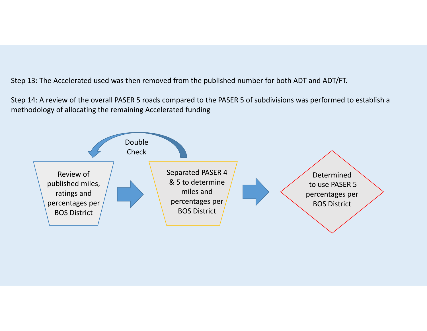Step 13: The Accelerated used was then removed from the published number for both ADT and ADT/FT.

Step 14: A review of the overall PASER 5 roads compared to the PASER 5 of subdivisions was performed to establish a methodology of allocating the remaining Accelerated funding

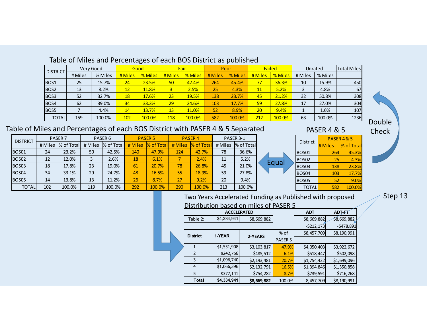| Table of Miles and Percentages of each BOS District as published |  |
|------------------------------------------------------------------|--|
|------------------------------------------------------------------|--|

| <b>DISTRICT</b>  |         | Very Good | Good    |         | Fair    |         | Poor    |         |         | <b>Failed</b> | Unrated |         | <b>Total Miles</b> |
|------------------|---------|-----------|---------|---------|---------|---------|---------|---------|---------|---------------|---------|---------|--------------------|
|                  | # Miles | % Miles   | # Miles | % Miles | # Miles | % Miles | # Miles | % Miles | # Miles | % Miles       | # Miles | % Miles |                    |
| BOS <sub>1</sub> | 25      | 15.7%     | 24      | 23.5%   | 50      | 42.4%   | 264     | 45.4%   | 77      | 36.3%         | 10      | 15.9%   | 450                |
| BOS <sub>2</sub> | 13      | 8.2%      | 12      | 11.8%   |         | 2.5%    | 25      | 4.3%    | 11      | 5.2%          |         | 4.8%    | 67                 |
| BOS <sub>3</sub> | 52      | 32.7%     | 18      | 17.6%   | 23      | 19.5%   | 138     | 23.7%   | 45      | 21.2%         | 32      | 50.8%   | 308                |
| BOS4             | 62      | 39.0%     | 34      | 33.3%   | 29      | 24.6%   | 103     | 17.7%   | 59      | 27.8%         | 17      | 27.0%   | 304                |
| <b>BOS5</b>      |         | 4.4%      | 14      | 13.7%   | 13      | 11.0%   | 52      | 8.9%    | 20      | 9.4%          |         | 1.6%    | 107                |
| <b>TOTAL</b>     | 159     | 100.0%    | 102     | 100.0%  | 118     | 100.0%  | 582     | 100.0%  | 212     | 100.0%        | 63      | 100.0%  | 1236               |

#### Table of Miles and Percentages of each BOS District with PASER 4 & 5 Separated

| <b>DISTRICT</b>   |                       | PASER <sub>7</sub> | PASER <sub>6</sub>           |        |         | <b>PASER 5</b> |         | <b>PASER4</b> | PASER 3-1 |            |  |
|-------------------|-----------------------|--------------------|------------------------------|--------|---------|----------------|---------|---------------|-----------|------------|--|
|                   | % of Total<br># Miles |                    | <b>% of Total</b><br># Miles |        | # Miles | % of Total     | # Miles | % of Total    | # Miles   | % of Total |  |
| BOS01             | 24                    | 23.2%              | 50                           | 42.5%  | 140     | 47.9%          | 124     | 42.7%         | 78        | 36.6%      |  |
| BOS <sub>02</sub> | 12                    | 12.0%              | 3                            | 2.6%   | 18      | 6.1%           | 7       | 2.4%          | 11        | 5.2%       |  |
| BOS <sub>03</sub> | 18                    | 17.8%              | 23                           | 19.0%  | 61      | 20.7%          | 78      | 26.8%         | 45        | 21.0%      |  |
| BOS <sub>04</sub> | 34                    | 33.1%              | 29                           | 24.7%  | 48      | 16.5%          | 55      | 18.9%         | 59        | 27.8%      |  |
| BOS <sub>05</sub> | 14                    | 13.8%              | 13                           | 11.2%  | 26      | 8.7%           | 27      | 9.2%          | 20        | 9.4%       |  |
| <b>TOTAL</b>      | 102                   | 100.0%             | 119                          | 100.0% | 292     | 100.0%         | 290     | 100.0%        | 213       | 100.0%     |  |





Step 13

| Distribution based on miles of PASER 5 |                    |             |                    |             |               |  |  |  |  |  |  |  |
|----------------------------------------|--------------------|-------------|--------------------|-------------|---------------|--|--|--|--|--|--|--|
|                                        | <b>ACCELERATED</b> |             |                    | <b>ADT</b>  | <b>ADT-FT</b> |  |  |  |  |  |  |  |
| Table 2:                               | \$4,334,941        | \$8,669,882 |                    | \$8,669,882 | \$8,669,882   |  |  |  |  |  |  |  |
|                                        |                    |             |                    | $-5212,173$ | $-5478,891$   |  |  |  |  |  |  |  |
| <b>District</b>                        | 1-YEAR             | 2-YEARS     | $%$ of             | \$8,457,709 | \$8,190,991   |  |  |  |  |  |  |  |
|                                        |                    |             | PASER <sub>5</sub> |             |               |  |  |  |  |  |  |  |
|                                        | \$1,551,908        | \$3,103,817 | 47.9%              | \$4,050,403 | \$3,922,672   |  |  |  |  |  |  |  |
| 2                                      | \$242,756          | \$485,512   | 6.1%               | \$518,447   | \$502,098     |  |  |  |  |  |  |  |
| 3                                      | \$1,096,740        | \$2,193,481 | 20.7%              | \$1,754,422 | \$1,699,096   |  |  |  |  |  |  |  |
| $\overline{4}$                         | \$1,066,396        | \$2,132,791 | 16.5%              | \$1,394,846 | \$1,350,858   |  |  |  |  |  |  |  |
| 5                                      | \$377,141          | \$754,282   | 8.7%               | \$739,591   | \$716,268     |  |  |  |  |  |  |  |
| <b>Total</b>                           | \$4,334,941        | \$8,669,882 | 100.0%             | 8,457,709   | \$8,190,991   |  |  |  |  |  |  |  |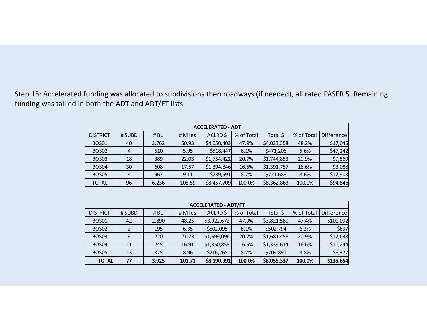Step 15: Accelerated funding was allocated to subdivisions then roadways (if needed), all rated PASER 5. Remaining funding was tallied in both the ADT and ADT/FT lists.

| <b>ACCELERATED - ADT</b> |                |       |         |             |            |             |            |                   |  |  |  |  |
|--------------------------|----------------|-------|---------|-------------|------------|-------------|------------|-------------------|--|--|--|--|
| <b>DISTRICT</b>          | # SUBD         | #BU   | # Miles | ACLRD\$     | % of Total | Total \$    | % of Total | <b>Difference</b> |  |  |  |  |
| <b>BOS01</b>             | 40             | 3,762 | 50.93   | \$4,050,403 | 47.9%      | \$4,033,358 | 48.2%      | \$17,045          |  |  |  |  |
| <b>BOS02</b>             | $\overline{4}$ | 510   | 5.95    | \$518,447   | 6.1%       | \$471,206   | 5.6%       | \$47,242          |  |  |  |  |
| <b>BOS03</b>             | 18             | 389   | 22.03   | \$1,754,422 | 20.7%      | \$1,744,853 | 20.9%      | \$9,569           |  |  |  |  |
| <b>BOS04</b>             | 30             | 608   | 17.57   | \$1,394,846 | 16.5%      | \$1,391,757 | 16.6%      | \$3,088           |  |  |  |  |
| <b>BOS05</b>             | 4              | 967   | 9.11    | \$739,591   | 8.7%       | \$721,688   | 8.6%       | \$17,903          |  |  |  |  |
| <b>TOTAL</b>             | 96             | 6,236 | 105.59  | \$8,457,709 | 100.0%     | \$8,362,863 | 100.0%     | \$94,846          |  |  |  |  |

|                                                                                                                 | <b>ACCELERATED - ADT/FT</b> |       |         |             |            |             |            |                   |  |  |  |  |  |
|-----------------------------------------------------------------------------------------------------------------|-----------------------------|-------|---------|-------------|------------|-------------|------------|-------------------|--|--|--|--|--|
| <b>DISTRICT</b>                                                                                                 | # SUBD                      | # BU  | # Miles | ACLRD\$     | % of Total | Total \$    | % of Total | <b>Difference</b> |  |  |  |  |  |
| <b>BOS01</b>                                                                                                    | 42                          | 2,890 | 48.25   | \$3,922,672 | 47.9%      | \$3,821,580 | 47.4%      | \$101,092         |  |  |  |  |  |
| <b>BOS02</b>                                                                                                    |                             | 195   | 6.35    | \$502,098   | 6.1%       | \$502,794   | 6.2%       | $-5697$           |  |  |  |  |  |
| <b>BOS03</b>                                                                                                    | 9                           | 220   | 21.23   | \$1,699,096 | 20.7%      | \$1,681,458 | 20.9%      | \$17,638          |  |  |  |  |  |
| <b>BOS04</b>                                                                                                    | 11                          | 245   | 16.91   | \$1,350,858 | 16.5%      | \$1,339,614 | 16.6%      | \$11,244          |  |  |  |  |  |
| \$709,891<br>\$716,268<br>8.8%<br><b>BOS05</b><br>375<br>13<br>8.96<br>8.7%                                     |                             |       |         |             |            |             |            |                   |  |  |  |  |  |
| \$6,377<br>\$135,654<br>\$8,190,991<br>\$8,055,337<br><b>TOTAL</b><br>100.0%<br>100.0%<br>77<br>3,925<br>101.71 |                             |       |         |             |            |             |            |                   |  |  |  |  |  |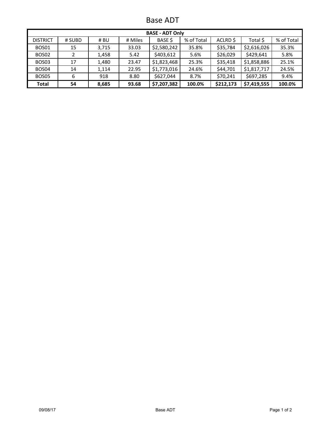Base ADT

| <b>BASE - ADT Only</b>                                                                                            |                                                                        |       |       |             |        |           |             |        |  |  |  |  |
|-------------------------------------------------------------------------------------------------------------------|------------------------------------------------------------------------|-------|-------|-------------|--------|-----------|-------------|--------|--|--|--|--|
| % of Total<br><b>BASE S</b><br>% of Total<br>Total \$<br>ACLRD \$<br><b>DISTRICT</b><br># Miles<br># SUBD<br># BU |                                                                        |       |       |             |        |           |             |        |  |  |  |  |
| <b>BOS01</b>                                                                                                      | 15                                                                     | 3,715 | 33.03 | \$2,580,242 | 35.8%  | \$35,784  | \$2,616,026 | 35.3%  |  |  |  |  |
| BOS02                                                                                                             | 2                                                                      | 1,458 | 5.42  | \$403,612   | 5.6%   | \$26,029  | \$429,641   | 5.8%   |  |  |  |  |
| BOS <sub>03</sub>                                                                                                 | 17                                                                     | 1,480 | 23.47 | \$1,823,468 | 25.3%  | \$35,418  | \$1,858,886 | 25.1%  |  |  |  |  |
| BOS04                                                                                                             | 14                                                                     | 1,114 | 22.95 | \$1,773,016 | 24.6%  | \$44,701  | \$1,817,717 | 24.5%  |  |  |  |  |
| BOS05                                                                                                             | \$627,044<br>\$70,241<br>\$697,285<br>9.4%<br>918<br>8.80<br>8.7%<br>6 |       |       |             |        |           |             |        |  |  |  |  |
| Total                                                                                                             | 54                                                                     | 8,685 | 93.68 | \$7,207,382 | 100.0% | \$212,173 | \$7,419,555 | 100.0% |  |  |  |  |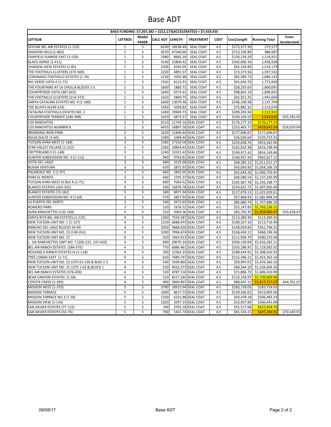#### Base ADT

| BASE FUNDING: \$7,207,382 + \$212,173(ACCELERATED) = \$7,419,555 |                |                       |                        |                        |                                         |             |                              |                                   |                     |  |  |
|------------------------------------------------------------------|----------------|-----------------------|------------------------|------------------------|-----------------------------------------|-------------|------------------------------|-----------------------------------|---------------------|--|--|
| <b>LEFTSUB</b>                                                   | <b>LEFTBOS</b> | Modal<br><b>PASER</b> | <b>CALC ADT LENGTH</b> |                        | <b>TREATMENT</b>                        | <b>COST</b> | Cost/Length                  | <b>Running Total</b>              | From<br>Accelerated |  |  |
| SKYLINE BEL AIR ESTATES (1-153)                                  | 1              | 5                     | 6530                   | 18238.49               | SEAL COAT                               | 4.5         | \$273,577.30                 | 273,577                           |                     |  |  |
| SHADOW HILLS (1-483)                                             | 1              | 5                     | 4570                   | 47540.66               | <b>SEAL COAT</b>                        | 4.5         | \$713,109.89                 | 986,687                           |                     |  |  |
| FAIRFIELD SUNRISE EAST (1-520)                                   | $\mathbf{1}$   | 5                     | 3380                   | 8682.29                | <b>SEAL COAT</b>                        | 4.5         | \$130,234.29                 | 1,116,921                         |                     |  |  |
| BLACK HORSE (1-411)                                              | $\mathbf{1}$   | 5                     | 3140                   | 22800.42               | <b>SEAL COAT</b>                        | 4.5         | \$342,006.34                 | 1,458,928                         |                     |  |  |
| SHADOW VIEW ESTATES (1-85)                                       | $\mathbf{1}$   | 5                     | 2300                   | 4350.05                | <b>SEAL COAT</b>                        | 4.5         | \$65,250.80                  | 1,524,179                         |                     |  |  |
| THE FOOTHILLS CLUSTERS (373-569)                                 | $\mathbf{1}$   | 5                     | 2220                   | 4891.57                | <b>SEAL COAT</b>                        | 4.5         | \$73,373.56                  | 1,597,552                         |                     |  |  |
| CORONADO FOOTHILLS ESTATES (1-74)                                | $\mathbf 1$    | 5                     | 2130                   | 5505.98                | <b>SEAL COAT</b>                        | 4.5         | \$82,589.73                  | 1,680,142                         |                     |  |  |
| RIO VERDE VISTA II (1-73)                                        | $\mathbf 1$    | 5                     | 1910                   | 6112.91                | SEAL COAT                               | 4.5         | \$91,693.70                  | 1,771,836                         |                     |  |  |
| THE FOUNTAINS AT LA CHOLLA BLOCKS 1-5                            | $\mathbf{1}$   | 5                     | 1830                   | 1883.71                | SEAL COAT                               | 4.5         | \$28,255.63                  | 1,800,091                         |                     |  |  |
| COUNTRYSIDE VISTA (387-602)                                      | $1\,$          | 5                     | 1640                   | 6573.41                | <b>SEAL COAT</b>                        | 4.5         | \$98,601.19                  | 1,898,692                         |                     |  |  |
| THE FOOTHILLS CLUSTERS (214-372)                                 | 1              | 5                     | 1610                   | 2860.75                | <b>SEAL COAT</b>                        | 4.5         | \$42,911.31                  | 1,941,604                         |                     |  |  |
| SANTA CATALINA ESTATES NO. 4 (1-180)                             | $\mathbf 1$    | 5                     | 1600                   | 13079.36               | <b>SEAL COAT</b>                        | 4.5         | \$196,190.38                 | 2,137,794                         |                     |  |  |
| THE BLUFFS II(249-319)                                           | $\mathbf 1$    | 5                     | 1450                   | 5058.82                | <b>SEAL COAT</b>                        | 4.5         | \$75,882.32                  | 2,213,676                         |                     |  |  |
| CATALINA FOOTHILLS ESTATES NO. 2                                 | $\mathbf{1}$   | 5                     | 1430                   | 19949.73               | <b>SEAL COAT</b>                        | 4.5         | \$299,245.94                 | 2,512,922                         |                     |  |  |
| COUNTRYSIDE TERRACE (240-398)                                    | $\mathbf 1$    | 5                     | 1410                   | 6873.57                | <b>SEAL COAT</b>                        | 4.5         | \$103,103.55                 | 2,616,026                         | $-$35,783.92$       |  |  |
| LOS RANCHITOS                                                    | $\overline{2}$ | 5                     | 8110                   |                        | 11745.16 SEAL COAT                      | 4.5         | \$176,177.33                 | \$176,177.33                      |                     |  |  |
| LOS RANCHITOS NUMBER 8                                           | $\mathbf 2$    | 5                     | 6470                   |                        | 16897.58 SEAL COAT                      | 4.5         | \$253,463.71                 | \$429,641.04                      | $-$26,029.04$       |  |  |
| <b>BRANDING IRON PARK</b>                                        | 3              | 5                     | 1620                   |                        | 11846.44 SEAL COAT                      | 4.5         | \$177,696.67                 | \$177,696.67                      |                     |  |  |
| AGUA DULCE (1-60)                                                | 3              | 5                     | 1580                   |                        | 1068.44 SEAL COAT                       | 4.5         | \$16,026.64                  | \$193,723.31                      |                     |  |  |
| TUCSON AVRA WEST (1-168)                                         | 3              | 5                     | 1580                   |                        | 17310.58 SEAL COAT                      | 4.5         | \$259,658.76                 | \$453,382.06                      |                     |  |  |
| STAR VALLEY VILLAGE (1-152)                                      | 3              | 5                     | 1260                   |                        | 10854.43 SEAL COAT                      | 4.5         | \$162,816.38                 | \$616,198.44                      |                     |  |  |
| CRITTERLAND II (1-148)                                           | 3              | 5                     | 1240                   |                        | 13331.43 SEAL COAT                      | 4.5         | \$199,971.42                 | \$816,169.86                      |                     |  |  |
| HUNTER SUBDIVISION NO. 3 (1-112)                                 | 3              | 5                     | 940                    |                        | 9763.82 SEAL COAT                       | 4.5         | \$146,457.26                 | \$962,627.12                      |                     |  |  |
| VISTA DEL LAGO                                                   | 3              | 5                     | 680                    |                        | 3225.68 SEAL COAT                       | 4.5         | \$48,385.15                  | \$1,011,012.27                    |                     |  |  |
| BUENA VENTURA                                                    | 3              | 5                     | 670                    |                        | 2872.93 SEAL COAT                       | 4.5         |                              | \$43,093.92 \$1,054,106.19        |                     |  |  |
| PALMDALE NO. 2 (1-97)                                            | 3              | 5                     | 660                    |                        | 2842.95 SEAL COAT                       | 4.5         |                              | \$42,644.26 \$1,096,750.45        |                     |  |  |
| PARK EL MONTE                                                    | 3              | 5                     | 660                    |                        | 2705.37 SEAL COAT                       | 4.5         |                              | \$40,580.54 \$1,137,330.99        |                     |  |  |
| TUCSON AVRA WEST III BLK A (1-71)                                | 3              | 5                     | 600                    |                        | 7064.52 SEAL COAT                       | 4.5         |                              | \$105,967.78 \$1,243,298.77       |                     |  |  |
| BLANCO ESTATES (163-335)                                         | 3              | 5                     | 590                    |                        | 16976.78 SEAL COAT                      | 4.5         |                              | \$254,651.72 \$1,497,950.49       |                     |  |  |
| BLANCO ESTATES (72-162)                                          | 3              | 5                     | 580                    |                        | 8471.94 SEAL COAT                       | 4.5         |                              | \$127,079.13 \$1,625,029.61       |                     |  |  |
| HUNTER SUBDIVISION NO. 4 (1-64)                                  | 3              | 5                     | 570                    |                        | 3857.93 SEAL COAT                       | 4.5         |                              | \$57,868.93 \$1,682,898.54        |                     |  |  |
| LA PUERTA DEL NORTE                                              | 3              | 5                     | 540                    |                        | 5672.65 SEAL COAT                       | 4.5         |                              | \$85,089.74 \$1,767,988.28        |                     |  |  |
| ROMERO PARK                                                      | 3              | 5                     | 520                    |                        | 1676.52 SEAL COAT                       | 4.5         |                              | \$25,147.83 <b>\$1,793,136.11</b> |                     |  |  |
| AVRA RANCHETTES (132-169)                                        | 3              | 5                     | 510                    |                        | 4383.36 SEAL COAT                       | 4.5         |                              | \$65,750.35 \$1,858,886.47        | -\$35,418.47        |  |  |
| SANTA RITA BEL AIR ESTATES (1-125)                               | $\overline{4}$ | 5                     | 1360                   |                        | 7559.287 SEAL COAT                      | 4.5         | \$113,389.30                 | \$113,389.30                      |                     |  |  |
| NEW TUCSON UNIT NO. 1 (1-127)                                    | $\overline{4}$ | 5                     | 1220                   |                        | 6688.473 SEAL COAT                      | 4.5         | \$100,327.10                 | \$213,716.40                      |                     |  |  |
| RANCHO DEL LAGO BLOCKS 43-49                                     | 4              | 5                     | 1050                   |                        | 9868.656 SEAL COAT                      | 4.5         | \$148,029.85                 | \$361,746.25                      |                     |  |  |
| NEW TUCSON UNIT NO. 23 (140-261)                                 | 4              | 5                     | 1030                   |                        | 7096.674 SEAL COAT                      | 4.5         | \$106,450.11                 | \$468,196.36                      |                     |  |  |
| NEW TUCSON UNIT NO. 27                                           | $\overline{4}$ | 5                     | 920                    |                        | 7463.913 SEAL COAT                      | 4.5         | \$111,958.70                 | \$580,155.06                      |                     |  |  |
| - SIX RANCHETTES UNIT NO. 7 (205-221, 237-423)                   | 4              | 5                     | 890                    |                        | 29075.34 SEAL COAT                      | 4.5         |                              | \$436,130.04 \$1,016,285.11       |                     |  |  |
| BEL AIR RANCH ESTATES (284-375)                                  | 4              | 5                     | 770                    |                        | 6886.461 SEAL COAT                      | 4.5         |                              | \$103,296.91 \$1,119,582.02       |                     |  |  |
| ROCKING K RANCH ESTATES IV (1-118)                               | 4              | 5                     | 700                    |                        | 12562.33 SEAL COAT                      | 4.5         |                              | \$188,434.91 \$1,308,016.93       |                     |  |  |
| TRES LOMAS EAST (1-71)                                           | 4              | 5                     | 610                    |                        | 7689.747 SEAL COAT                      | 4.5         | \$115,346.21                 | \$1,423,363.14                    |                     |  |  |
| NEW TUCSON UNIT NO. 22 LOTS 63-139 & BLKS 2-3                    | 4              | 5                     | 540                    |                        | 3399.802 SEAL COAT                      | 4.5         | \$50,997.02                  | \$1,474,360.16                    |                     |  |  |
| NEW TUCSON UNIT NO. 21 LOTS 1-62 & BLOCK 1                       | 4              | 5                     | 530                    |                        | 4016.273 SEAL COAT                      | 4.5         |                              | \$60,244.10 \$1,534,604.26        |                     |  |  |
| BEL AIR RANCH ESTATES (376-439)                                  | 4              | 5                     |                        | 520 4787.116 SEAL COAT |                                         | 4.5         |                              | \$71,806.73 \$1,606,410.99        |                     |  |  |
| BEAR CANYON ESTATES (1-58)                                       | 4              | 5                     |                        | 510 8217.265 SEAL COAT |                                         | 4.5         | \$123,258.97                 | \$1,729,669.96                    |                     |  |  |
| COYOTE CREEK (1-395)                                             | 4              | 5                     | 490                    |                        | 5869.807 SEAL COAT                      | 4.5         | \$88,047.11                  | \$1,817,717.07                    | $-$44,701.07$       |  |  |
|                                                                  |                |                       |                        |                        |                                         |             |                              |                                   |                     |  |  |
| MISSION WEST (1-370)                                             | 5<br>5         | 5<br>5                | 3790<br>1600           |                        | 18915.94 SEAL COAT<br>8617.73 SEAL COAT | 4.5<br>4.5  | \$283,739.05<br>\$129,266.01 | \$283,739.05<br>\$413,005.06      |                     |  |  |
| <b>MISSION TERRACE</b>                                           | 5              |                       |                        |                        | 6231.88 SEAL COAT                       |             |                              |                                   |                     |  |  |
| MISSION TERRACE NO.3 (7-28)                                      |                | 5                     | 1330<br>1020           |                        |                                         | 4.5         | \$93,478.18                  | \$506,483.24                      |                     |  |  |
| MISSION VIEW (1-134)                                             | 5              | 5                     |                        |                        | 3597.19 SEAL COAT<br>3701.18 SEAL COAT  | 4.5         | \$53,957.84                  | \$560,441.08<br>\$615,958.76      |                     |  |  |
| SAN XAVIER ESTATES (77-122)<br>SAN XAVIER ESTATES (32-76)        | 5<br>5         | 5<br>5                | 740<br>700             |                        | 5421.74 SEAL COAT                       | 4.5<br>4.5  | \$55,517.68                  | \$697,284.91                      |                     |  |  |
|                                                                  |                |                       |                        |                        |                                         |             | \$81,326.15                  |                                   | $-$70,240.91$       |  |  |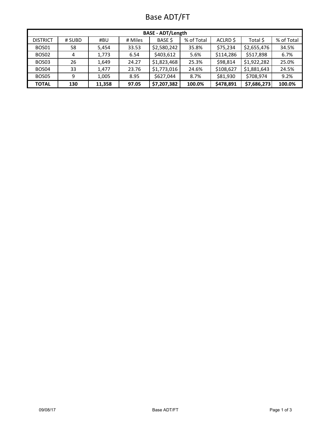## Base ADT/FT

| <b>BASE - ADT/Length</b>                                                                                         |     |        |       |             |        |           |             |        |  |  |  |
|------------------------------------------------------------------------------------------------------------------|-----|--------|-------|-------------|--------|-----------|-------------|--------|--|--|--|
| % of Total<br>% of Total<br><b>BASE S</b><br><b>DISTRICT</b><br>ACLRD \$<br>Total \$<br># SUBD<br># Miles<br>#BU |     |        |       |             |        |           |             |        |  |  |  |
| <b>BOS01</b>                                                                                                     | 58  | 5,454  | 33.53 | \$2,580,242 | 35.8%  | \$75,234  | \$2,655,476 | 34.5%  |  |  |  |
| BOS02                                                                                                            | 4   | 1,773  | 6.54  | \$403,612   | 5.6%   | \$114,286 | \$517,898   | 6.7%   |  |  |  |
| BOS <sub>03</sub>                                                                                                | 26  | 1,649  | 24.27 | \$1,823,468 | 25.3%  | \$98,814  | \$1,922,282 | 25.0%  |  |  |  |
| BOS04                                                                                                            | 33  | 1.477  | 23.76 | \$1,773,016 | 24.6%  | \$108,627 | \$1,881,643 | 24.5%  |  |  |  |
| BOS05                                                                                                            | 9   | 1,005  | 8.95  | \$627,044   | 8.7%   | \$81,930  | \$708,974   | 9.2%   |  |  |  |
| <b>TOTAL</b>                                                                                                     | 130 | 11,358 | 97.05 | \$7,207,382 | 100.0% | \$478,891 | \$7,686,273 | 100.0% |  |  |  |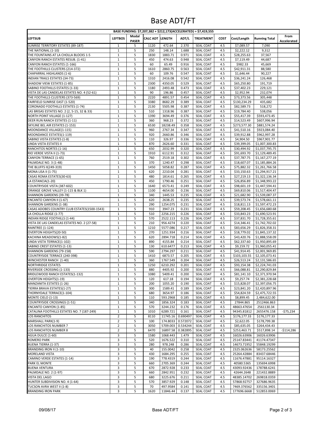### Base ADT/FT

| BASE FUNDING: \$7,207,382 + \$212,173(ACCELERATED) = \$7,419,555             |                                  |                   |                        |                      |                      |                               |             |                             |                                  |             |
|------------------------------------------------------------------------------|----------------------------------|-------------------|------------------------|----------------------|----------------------|-------------------------------|-------------|-----------------------------|----------------------------------|-------------|
| <b>LEFTSUB</b>                                                               | <b>LEFTBOS</b>                   | Modal             | <b>CALC ADT LENGTH</b> |                      | ADT/L                | <b>TREATMENT</b>              | <b>COST</b> | Cost/Length                 | <b>Running Total</b>             | From        |
| SUNRISE TERRITORY ESTATES (89-187)                                           | $\mathbf{1}$                     | <b>PASER</b><br>5 | 1120                   | 472.64               | 2.370                | SEAL COAT                     | 4.5         | \$7,089.57                  | 7,090                            | Accelerated |
| THE NATIONAL (1-10)                                                          | $\mathbf{1}$                     | 5                 | 250                    | 148.14               | 1.688                | SEAL COAT                     | 4.5         | \$2,222.12                  | 9,312                            |             |
| THE FOUNTAINS AT LA CHOLLA BLOCKS 1-5                                        | $\mathbf{1}$                     | 5                 | 1830                   | 1883.71              | 0.971                | SEAL COAT                     | 4.5         | \$28,255.63                 | 37,567                           |             |
| CANYON RANCH ESTATES RESUB. (1-41)                                           | $\mathbf{1}$                     | 5                 | 450                    | 474.63               | 0.948                | SEAL COAT                     | 4.5         | \$7,119.49                  | 44,687                           |             |
| CANYON RANCH ESTATES (1-166)                                                 | $\mathbf{1}$                     | 5                 | 60                     | 65.49                | 0.916                | SEAL COAT                     | 4.5         | \$982.33                    | 45,669                           |             |
| THE FOOTHILLS CLUSTERS (214-372)                                             | $\mathbf{1}$                     | 5                 | 1610                   | 2860.75              | 0.563                | SEAL COAT                     | 4.5         | \$42,911.31                 | 88,580                           |             |
| CHAPARRAL HIGHLANDS (1-6)                                                    | $\mathbf{1}$<br>$\mathbf{1}$     | 5                 | 60<br>1310             | 109.76               | 0.547                | SEAL COAT                     | 4.5         | \$1,646.44                  | 90,227                           |             |
| INDIAN TRAILS ESTATES (34-73)<br>SHADOW VIEW ESTATES (1-85)                  | $\mathbf 1$                      | 5<br>5            | 2300                   | 2416.08<br>4350.05   | 0.542<br>0.529       | SEAL COAT<br><b>SEAL COAT</b> | 4.5<br>4.5  | \$36,241.24<br>\$65,250.80  | 126,468<br>191,719               |             |
| SABINO FOOTHILLS ESTATES (1-33)                                              | $\mathbf{1}$                     | 5                 | 1180                   | 2493.48              | 0.473                | SEAL COAT                     | 4.5         | \$37,402.23                 | 229,121                          |             |
| VISTA DE LAS CANDELAS ESTATES NO. 4 (52-61)                                  | $\mathbf{1}$                     | 5                 | 90                     | 196.86               | 0.457                | SEAL COAT                     | 4.5         | \$2,952.94                  | 232,074                          |             |
| THE FOOTHILLS CLUSTERS (373-569)                                             | $\mathbf{1}$                     | 5                 | 2220                   | 4891.57              | 0.454                | SEAL COAT                     | 4.5         | \$73,373.56                 | 305,448                          |             |
| FAIRFIELD SUNRISE EAST (1-520)                                               | $\mathbf{1}$                     | 5                 | 3380                   | 8682.29              | 0.389                | SEAL COAT                     | 4.5         | \$130,234.29                | 435,682                          |             |
| CORONADO FOOTHILLS ESTATES (1-74)                                            | $\mathbf{1}$                     | 5                 | 2130                   | 5505.98              | 0.387                | SEAL COAT                     | 4.5         | \$82,589.73                 | 518,272                          |             |
| LAS BRISAS ESTATES NO. 2 (2, 5-15, 32 & 33)                                  | $\mathbf{1}$<br>$\mathbf{1}$     | 5                 | 510<br>1390            | 1318.96              | 0.387                | SEAL COAT                     | 4.5         | \$19,784.40                 | 538,056                          |             |
| NORTH POINT VILLAGE (1-127)<br>DEER RUN RANCH ESTATES (1-11)                 | $\mathbf{1}$                     | 5<br>5            | 360                    | 3694.49<br>968.23    | 0.376<br>0.372       | SEAL COAT<br>SEAL COAT        | 4.5<br>4.5  | \$55,417.39<br>\$14,523.49  | \$593,473.45<br>\$607,996.94     |             |
| SKYLINE BEL AIR ESTATES (1-153)                                              | $\mathbf{1}$                     | 5                 | 6530                   | 18238.49             | 0.358                | SEAL COAT                     | 4.5         | \$273,577.30                | \$881,574.24                     |             |
| MOONDANCE VILLAGE(1-115)                                                     | $\mathbf{1}$                     | 5                 | 960                    | 2767.34              | 0.347                | SEAL COAT                     | 4.5         | \$41,510.16                 | \$923,084.40                     |             |
| MOONDANCE ESTATES(1-119)                                                     | $\mathbf{1}$                     | 5                 | 920                    | 2660.86              | 0.346                | SEAL COAT                     | 4.5         | \$39,912.88                 | \$962,997.28                     |             |
| SABINO VISTA ESTATES (1-8)                                                   | $\mathbf{1}$                     | 5                 | 110                    | 326.97               | 0.336                | SEAL COAT                     | 4.5         | \$4,904.50                  | \$967,901.77                     |             |
| LINDA VISTA ESTATES II                                                       | $\mathbf{1}$                     | 5                 | 870                    | 2626.60              | 0.331                | SEAL COAT                     | 4.5         | \$39,399.05                 | \$1,007,300.83                   |             |
| RANCHITOS NORTES (1-16)<br>RIO VERDE VISTA II (1-73)                         | $\mathbf{1}$<br>$\mathbf{1}$     | 5<br>5            | 650<br>1910            | 2032.99<br>6112.91   | 0.320<br>0.312       | SEAL COAT<br>SEAL COAT        | 4.5<br>4.5  | \$30,494.92<br>\$91,693.70  | \$1,037,795.75<br>\$1,129,489.45 |             |
| CANYON TERRACE (1-65)                                                        | $\mathbf{1}$                     | 5                 | 760                    | 2519.18              | 0.302                | SEAL COAT                     | 4.5         | \$37,787.75                 | \$1,167,277.19                   |             |
| PALMDALE NO. 3 (1-48)                                                        | $\mathbf{1}$                     | 5                 | 370                    | 1240.47              | 0.298                | <b>SEAL COAT</b>              | 4.5         | \$18,607.07                 | \$1,185,884.26                   |             |
| THE BLUFFS II(249-319)                                                       | $\mathbf{1}$                     | 5                 | 1450                   | 5058.82              | 0.287                | SEAL COAT                     | 4.5         | \$75,882.32                 | \$1,261,766.58                   |             |
| <b>MONA LISA II (1-75)</b>                                                   | $\mathbf{1}$                     | 5                 | 620                    | 2210.04              | 0.281                | SEAL COAT                     | 4.5         | \$33,150.63                 | \$1,294,917.21                   |             |
| CASAS ROMA ESTATES(30-63)                                                    | $\mathbf{1}$                     | 5                 | 480                    | 1814.61              | 0.265                | SEAL COAT                     | 4.5         | \$27,219.13                 | \$1,322,136.34                   |             |
| LA ESTANCIA(1-20)                                                            | $\mathbf{1}$                     | 5                 | 450                    | 1790.46              | 0.251                | SEAL COAT                     | 4.5         | \$26,856.89                 | \$1,348,993.22                   |             |
| COUNTRYSIDE VISTA (387-602)<br>ORANGE GROVE VALLEY (1-115 & BLK 1)           | $\mathbf{1}$<br>$\mathbf{1}$     | 5<br>5            | 1640<br>1100           | 6573.41<br>4654.00   | 0.249<br>0.236       | SEAL COAT<br>SEAL COAT        | 4.5<br>4.5  | \$98,601.19<br>\$69,810.06  | \$1,447,594.41<br>\$1,517,404.47 |             |
| SHANNON GARDENS (39-78)                                                      | $\mathbf{1}$                     | 5                 | 340                    | 1445.53              | 0.235                | SEAL COAT                     | 4.5         | \$21,682.90                 | \$1,539,087.37                   |             |
| ENCANTO CANYON II (1-67)                                                     | $\mathbf{1}$                     | 5                 | 620                    | 2638.25              | 0.235                | SEAL COAT                     | 4.5         | \$39,573.74                 | \$1,578,661.11                   |             |
| SHANNON GARDENS (1-38)                                                       | $\mathbf{1}$                     | 5                 | 290                    | 1254.075             | 0.231                | <b>SEAL COAT</b>              | 4.5         | \$18,811.13                 | \$1,597,472.23                   |             |
| CASAS ADOBES COUNTRY CLUB ESTATES(1500-1543)                                 | $\mathbf{1}$                     | 5                 | 910                    | 3947.23              | 0.231                | SEAL COAT                     | 4.5         | \$59,208.45                 | \$1,656,680.68                   |             |
| LA CHOLLA RIDGE (1-77)                                                       | $\mathbf{1}$                     | 5                 | 510                    | 2256.215             | 0.226                | SEAL COAT                     | 4.5         | \$33,843.23                 | \$1,690,523.91                   |             |
| INDIAN RIDGE FOOTHILLS (1-44)<br>VISTA DE LAS CANDELAS ESTATES NO. 2 (27-58) | $\mathbf{1}$<br>$\mathbf{1}$     | 5<br>5            | 570<br>210             | 2522.113<br>956.4274 | 0.226<br>0.220       | SEAL COAT<br>SEAL COAT        | 4.5<br>4.5  | \$37,831.70<br>\$14,346.41  | \$1,728,355.61<br>\$1,742,702.02 |             |
| <b>RAINTREE (1-124)</b>                                                      | $\mathbf{1}$                     | 5                 | 1210                   | 5577.086             | 0.217                | SEAL COAT                     | 4.5         | \$83,656.29                 | \$1,826,358.31                   |             |
| OVERTON HEIGHTS(20-50)                                                       | $\mathbf{1}$                     | 5                 | 270                    | 1251.934             | 0.216                | SEAL COAT                     | 4.5         | \$18,779.02                 | \$1,845,137.32                   |             |
| KACHINA MEADOWS(1-82)                                                        | $\mathbf{1}$                     | 5                 | 620                    | 2894.718             | 0.214                | SEAL COAT                     | 4.5         | \$43,420.76                 | \$1,888,558.09                   |             |
| LINDA VISTA TERRACE(1-102)                                                   | $\mathbf{1}$                     | 5                 | 890                    | 4155.84              | 0.214                | SEAL COAT                     | 4.5         | \$62,337.60                 | \$1,950,895.69                   |             |
| SABINO CREST ESTATES (1-13)                                                  | $\mathbf{1}$                     | 5                 | 130                    | 610.6477             | 0.213                | SEAL COAT                     | 4.5         | \$9,159.72                  | \$1,960,055.41                   |             |
| SHANNON GARDENS (79-158)                                                     | $\mathbf{1}$<br>$\mathbf{1}$     | 5                 | 590                    | 2794.297             | 0.211                | SEAL COAT                     | 4.5         | \$41,914.45                 | \$2,001,969.85                   |             |
| COUNTRYSIDE TERRACE (240-398)<br>WINCHESTER RANCH (1-40)                     | $\mathbf{1}$                     | 5<br>5            | 1410<br>360            | 6873.57<br>1767.549  | 0.205<br>0.204       | SEAL COAT<br><b>SEAL COAT</b> | 4.5<br>4.5  | \$103,103.55<br>\$26,513.24 | \$2,105,073.41<br>\$2,131,586.65 |             |
| <b>NORTHRIDGE ESTATES</b>                                                    | $\mathbf{1}$                     | 5                 | 1250                   | 6210.292             | 0.201                | SEAL COAT                     | 4.5         | \$93,154.38                 | \$2,224,741.03                   |             |
| RIVERSIDE CROSSING (1-133)                                                   | $\mathbf{1}$                     | 5                 | 880                    | 4405.92              | 0.200                | SEAL COAT                     | 4.5         | \$66,088.81                 | \$2,290,829.84                   |             |
| BRIDLEWOOD RANCH ESTATES(1-132)                                              | $\mathbf{1}$                     | 5                 | 1080                   | 5409.41              | 0.200                | SEAL COAT                     | 4.5         | \$81,141.10                 | \$2,371,970.94                   |             |
| <b>OVERTON HEIGHTS(1-19)</b>                                                 | $\mathbf{1}$                     | 5                 | 120                    | 617.18               | 0.194                | SEAL COAT                     | 4.5         | \$9,257.74                  | \$2,381,228.68                   |             |
| MANZANITA ESTATES (1-26)                                                     | $\mathbf{1}$                     | 5                 | 200                    | 1055.20              | 0.190                | SEAL COAT                     | 4.5         | \$15,828.07                 | \$2,397,056.75                   |             |
| TIERRA BRAVA ESTATES(1-27)<br>THORNYDALE TERRACE(1-104)                      | $\mathbf{1}$<br>$\mathbf{1}$     | 5<br>5            | 300<br>680             | 1589.41<br>3654.97   | 0.189<br>0.186       | SEAL COAT<br>SEAL COAT        | 4.5<br>4.5  | \$23,841.20<br>\$54,824.59  | \$2,420,897.96<br>\$2,475,722.55 |             |
| MONTE CIELO (1-13)                                                           | $\mathbf{1}$                     | 5                 | 110                    | 593.2968             | 0.185                | SEAL COAT                     | 4.5         | \$8,899.45                  | 2,484,622.00                     |             |
| COUNTRYSIDE CROSSINGS (1-51)                                                 | $\mathbf{1}$                     | 5                 | 340                    | 1856.324             | 0.183                | <b>SEAL COAT</b>              | 4.5         | 27844.865                   | 2512466.863                      |             |
| <b>ENCANTO CANYON (1-85)</b>                                                 | $\mathbf{1}$                     | 5                 | 570                    | 3244.232             | 0.176                | SEAL COAT                     | 4.5         | 48663.47654                 | 2561130.34                       |             |
| CATALINA FOOTHILLS ESTATES NO. 7 (187-249)                                   | $\mathbf{1}$                     | 5                 | 1010                   | 6289.721             | 0.161                | SEAL COAT                     | 4.5         | 94345.81812                 | 2655476.158                      | $-575,234$  |
| LOS RANCHITOS                                                                | $\overline{2}$                   | 5                 | 8110                   | 11745.16 0.690497    |                      | SEAL COAT                     | 4.5         | \$176,177.33                | \$176,177.33                     |             |
| MARSHALL PARK(1-9)                                                           | $\overline{2}$                   | 5                 | 100                    | 174.8033             | 0.572072             | SEAL COAT                     | 4.5         | \$2,622.05                  | \$178,799.38                     |             |
| LOS RANCHITOS NUMBER 7<br>LOS RANCHITOS NUMBER 8                             | $\overline{2}$<br>$\overline{2}$ | 5<br>5            | 3050<br>6470           | 5709.003<br>16897.58 | 0.534244<br>0.382895 | SEAL COAT<br>SEAL COAT        | 4.5<br>4.5  | \$85,635.05<br>\$253,463.71 | \$264,434.43<br>\$517,898.14     | $-$114,286$ |
| AGUA DULCE (1-60)                                                            | 3                                | 5                 | 1580                   | 1068.443             | 1.479                | SEAL COAT                     | 4.5         | 16026.63906                 | 16026.63906                      |             |
| <b>ROMERO PARK</b>                                                           | 3                                | 5                 | 520                    | 1676.522             | 0.310                | SEAL COAT                     | 4.5         | 25147.83441                 | 41174.47347                      |             |
| <b>BUENA TIERRA (1-37)</b>                                                   | 3                                | 5                 | 280                    | 978.248              | 0.286                | SEAL COAT                     | 4.5         | 14673.71952                 | 55848.19299                      |             |
| BRANDING IRON II (1-10)                                                      | 3                                | 5                 | 40                     | 155.0042             | 0.258                | <b>SEAL COAT</b>              | 4.5         | 2325.062636                 | 58173.25562                      |             |
| MORELAND VISTA                                                               | 3                                | 5                 | 430                    | 1684.295             | 0.255                | SEAL COAT                     | 4.5         | 25264.42884                 | 83437.68446                      |             |
| CAMINO VERDE ESTATES (1-14)                                                  | 3                                | 5                 | 190                    | 778.4319             | 0.244                | SEAL COAT                     | 4.5         | 11676.47881                 | 95114.16327                      |             |
| PARK EL MONTE                                                                | 3                                | 5                 | 660                    | 2705.369             | 0.244                | SEAL COAT                     | 4.5         | 40580.5365                  | 135694.6998                      |             |
| <b>BUENA VENTURA</b><br>PALMDALE NO. 2 (1-97)                                | 3<br>3                           | 5<br>5            | 670<br>660             | 2872.928<br>2842.951 | 0.233<br>0.232       | SEAL COAT<br>SEAL COAT        | 4.5<br>4.5  | 43093.92436<br>42644.2648   | 178788.6241<br>221432.8889       |             |
| VISTA DEL LAGO                                                               | 3                                | 5                 | 680                    | 3225.676             | 0.211                | SEAL COAT                     | 4.5         | 48385.14702                 | 269818.0359                      |             |
| HUNTER SUBDIVISION NO. 4 (1-64)                                              | 3                                | 5                 | 570                    | 3857.929             | 0.148                | SEAL COAT                     | 4.5         | 57868.92757                 | 327686.9635                      |             |
| TUCSON AVRA WEST II (1-8)                                                    | 3                                | 5                 | 70                     | 497.9584             | 0.141                | <b>SEAL COAT</b>              | 4.5         | 7469.376562                 | 335156.3401                      |             |
| <b>BRANDING IRON PARK</b>                                                    | 3                                | 5                 | 1620                   | 11846.44             | 0.137                | SEAL COAT                     | 4.5         | 177696.6668                 | 512853.0069                      |             |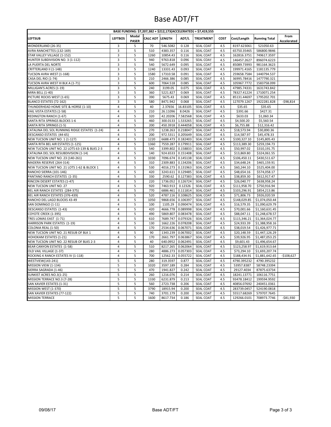### Base ADT/FT

| BASE FUNDING: \$7,207,382 + \$212,173(ACCELERATED) = \$7,419,555 |                         |                       |                        |          |          |                  |             |              |                      |                     |
|------------------------------------------------------------------|-------------------------|-----------------------|------------------------|----------|----------|------------------|-------------|--------------|----------------------|---------------------|
| LEFTSUB                                                          | <b>LEFTBOS</b>          | Modal<br><b>PASER</b> | <b>CALC ADT LENGTH</b> |          | ADT/L    | <b>TREATMENT</b> | <b>COST</b> | Cost/Length  | <b>Running Total</b> | From<br>Accelerated |
| WONDERLAND (26-35)                                               | 3                       | 5                     | 70                     | 546.5082 | 0.128    | SEAL COAT        | 4.5         | 8197.623061  | 521050.63            |                     |
| AVRA RANCHETTES (132-169)                                        | 3                       | 5                     | 510                    | 4383.357 | 0.116    | SEAL COAT        | 4.5         | 65750.35465  | 586800.9846          |                     |
| STAR VALLEY VILLAGE (1-152)                                      | 3                       | 5                     | 1260                   | 10854.43 | 0.116    | SEAL COAT        | 4.5         | 162816.3751  | 749617.3597          |                     |
| HUNTER SUBDIVISION NO. 3 (1-112)                                 | 3                       | 5                     | 940                    | 9763.818 | 0.096    | SEAL COAT        | 4.5         | 146457.2627  | 896074.6223          |                     |
| LA PUERTA DEL NORTE                                              | 3                       | 5                     | 540                    | 5672.649 | 0.095    | <b>SEAL COAT</b> | 4.5         | 85089.73993  | 981164.3623          |                     |
| CRITTERLAND II (1-148)                                           | 3                       | 5                     | 1240                   | 13331.43 | 0.093    | <b>SEAL COAT</b> | 4.5         | 199971.4165  | 1181135.779          |                     |
| TUCSON AVRA WEST (1-168)                                         | 3                       | 5                     | 1580                   | 17310.58 | 0.091    | SEAL COAT        | 4.5         | 259658.7584  | 1440794.537          |                     |
| CASA DEL RIO (1-74)                                              | 3                       | 5                     | 210                    | 2466.386 | 0.085    | <b>SEAL COAT</b> | 4.5         | 36995.78416  | 1477790.321          |                     |
| TUCSON AVRA WEST III BLK A (1-71)                                | 3                       | 5                     | 600                    | 7064.518 | 0.085    | <b>SEAL COAT</b> | 4.5         | 105967.7772  | 1583758.099          |                     |
| MILLIGAN'S ACRES (1-19)                                          | 3                       | 5                     | 240                    | 3199.05  | 0.075    | <b>SEAL COAT</b> | 4.5         | 47985.74331  | 1631743.842          |                     |
| MIRA BELL (1-40)                                                 | 3                       | 5                     | 360                    | 5221.827 | 0.069    | <b>SEAL COAT</b> | 4.5         | 78327.41224  | 1710071.254          |                     |
| PICTURE ROCKS WEST (1-65)                                        | 3                       | 5                     | 390                    | 5675.43  | 0.069    | <b>SEAL COAT</b> | 4.5         | 85131.44697  | 1795202.701          |                     |
| BLANCO ESTATES (72-162)                                          | 3                       | 5                     | 580                    | 8471.942 | 0.068    | SEAL COAT        | 4.5         | 127079.1267  | 1922281.828          | $-$ \$98,814        |
| THUNDERHEAD HOME SITE & HORSE (1-10)                             | 4                       | 5                     | 40                     | 2.37656  | 16.83105 | SEAL COAT        | 4.5         | \$35.65      | \$35.65              |                     |
| VAIL VISTA ESTATES (1-58)                                        | 4                       | 5                     | 210                    | 26.11096 | 8.0426   | SEAL COAT        | 4.5         | \$391.66     | \$427.31             |                     |
| REDINGTON RANCH (1-67)                                           | $\overline{4}$          | 5                     | 320                    | 42.20206 | 7.582568 | SEAL COAT        | 4.5         | \$633.03     | \$1,060.34           |                     |
| SANTA RITA SPRINGS BLOCKS 1-6                                    | $\overline{4}$          | 5                     | 460                    | 300.0133 | 1.533265 | SEAL COAT        | 4.5         | \$4,500.20   | \$5,560.54           |                     |
| SANTA RITA SPRINGS (1-5)                                         | $\overline{4}$          | 5                     | 200                    | 450.3918 | 0.444058 | SEAL COAT        | 4.5         | \$6,755.88   | \$12,316.42          |                     |
| CATALINA DEL SOL RUNNING RIDGE ESTATES (1-24)                    | $\overline{\mathbf{4}}$ | 5                     | 270                    | 1238.263 | 0.218047 | SEAL COAT        | 4.5         | \$18,573.94  | \$30,890.36          |                     |
| DESCANSO ESTATES (44-65)                                         | 4                       | 5                     | 200                    | 972.5311 | 0.205649 | SEAL COAT        | 4.5         | \$14,587.97  | \$45,478.33          |                     |
| NEW TUCSON UNIT NO. 1 (1-127)                                    | $\overline{\mathbf{4}}$ | 5                     | 1220                   | 6688.473 | 0.182403 | SEAL COAT        | 4.5         | \$100,327.10 | \$145,805.43         |                     |
| SANTA RITA BEL AIR ESTATES (1-125)                               | 4                       | 5                     | 1360                   | 7559.287 | 0.179911 | SEAL COAT        | 4.5         | \$113,389.30 | \$259,194.73         |                     |
| NEW TUCSON UNIT NO. 22 LOTS 63-139 & BLKS 2-3                    | $\overline{\mathbf{4}}$ | 5                     | 540                    | 3399.802 | 0.158833 | SEAL COAT        | 4.5         | \$50,997.02  | \$310,191.75         |                     |
|                                                                  | 4                       |                       | 140                    |          |          |                  |             |              |                      |                     |
| CATALINA DEL SOL RESUBDIVISION (1-14)                            |                         | 5                     |                        | 924.6533 | 0.151408 | SEAL COAT        | 4.5         | \$13,869.80  | \$324,061.55         |                     |
| NEW TUCSON UNIT NO. 23 (140-261)                                 | $\overline{4}$          | 5                     | 1030                   | 7096.674 | 0.145138 | SEAL COAT        | 4.5         | \$106,450.11 | \$430,511.67         |                     |
| MADERA RESERVE (264-314)                                         | $\overline{\mathbf{4}}$ | 5                     | 310                    | 2309.883 | 0.134206 | SEAL COAT        | 4.5         | \$34,648.24  | \$465,159.91         |                     |
| NEW TUCSON UNIT NO. 21 LOTS 1-62 & BLOCK 1                       | 4                       | 5                     | 530                    | 4016.273 | 0.131963 | <b>SEAL COAT</b> | 4.5         | \$60,244.10  | \$525,404.00         |                     |
| RANCHO SIERRA (101-146)                                          | 4                       | 5                     | 420                    | 3243.611 | 0.129485 | SEAL COAT        | 4.5         | \$48,654.16  | \$574,058.17         |                     |
| PANTANO RANCH ESTATES (1-35)                                     | 4                       | 5                     | 330                    | 2590.62  | 0.127383 | <b>SEAL COAT</b> | 4.5         | \$38,859.30  | \$612,917.47         |                     |
| RINCON DESERT ESTATES (1-47)                                     | $\overline{4}$          | 5                     | 220                    | 1736.052 | 0.126724 | SEAL COAT        | 4.5         | \$26,040.77  | \$638,958.24         |                     |
| NEW TUCSON UNIT NO. 27                                           | $\overline{4}$          | 5                     | 920                    | 7463.913 | 0.12326  | SEAL COAT        | 4.5         | \$111,958.70 | \$750,916.94         |                     |
| BEL AIR RANCH ESTATES (284-375)                                  | $\overline{4}$          | 5                     | 770                    | 6886.461 | 0.111814 | SEAL COAT        | 4.5         | \$103,296.91 | \$854,213.86         |                     |
| BEL AIR RANCH ESTATES (376-439)                                  | 4                       | 5                     | 520                    | 4787.116 | 0.108625 | SEAL COAT        | 4.5         | \$71,806.73  | \$926,020.59         |                     |
| RANCHO DEL LAGO BLOCKS 43-49                                     | 4                       | 5                     | 1050                   | 9868.656 | 0.106397 | SEAL COAT        | 4.5         | \$148,029.85 | \$1,074,050.44       |                     |
| SAN DOMINGO (1-11)                                               | 4                       | 5                     | 100                    | 1105.29  | 0.090474 | SEAL COAT        | 4.5         | \$16,579.35  | \$1,090,629.79       |                     |
| DESCANSO ESTATES (1-43)                                          | 4                       | 5                     | 420                    | 4666.778 | 0.089998 | SEAL COAT        | 4.5         | \$70,001.66  | \$1,160,631.45       |                     |
| COYOTE CREEK (1-395)                                             | $\overline{\mathbf{4}}$ | 5                     | 490                    | 5869.807 | 0.083478 | SEAL COAT        | 4.5         | \$88,047.11  | \$1,248,678.57       |                     |
| TRES LOMAS EAST (1-71)                                           | 4                       | 5                     | 610                    | 7689.747 | 0.079326 | SEAL COAT        | 4.5         | \$115,346.21 | \$1,364,024.77       |                     |
| HARRISON PARK ESTATES (1-19)                                     | $\overline{4}$          | 5                     | 130                    | 1662.226 | 0.078208 | SEAL COAT        | 4.5         | \$24,933.39  | \$1,388,958.16       |                     |
| COLONIA REAL (1-50)                                              | 4                       | 5                     | 170                    | 2534.636 | 0.067071 | SEAL COAT        | 4.5         | \$38,019.54  | \$1,426,977.71       |                     |
| NEW TUCSON UNIT NO. 21 RESUB OF BLK 1                            | $\overline{\mathbf{4}}$ | 5                     | 90                     | 1343.239 | 0.067002 | SEAL COAT        | 4.5         | \$20,148.59  | \$1,447,126.29       |                     |
| HOHOKAM ESTATES (1-21)                                           | 4                       | 5                     | 170                    | 2661.797 | 0.063867 | SEAL COAT        | 4.5         | \$39,926.95  | \$1,487,053.25       |                     |
| NEW TUCSON UNIT NO. 22 RESUB OF BLKS 2-3                         | 4                       | 5                     | 40                     | 640.0952 | 0.062491 | SEAL COAT        | 4.5         | \$9,601.43   | \$1,496,654.67       |                     |
| BEAR CANYON ESTATES (1-58)                                       | $\overline{4}$          | 5                     | 510                    | 8217.265 | 0.062064 | SEAL COAT        | 4.5         | \$123,258.97 | \$1,619,913.64       |                     |
| OLD VAIL VILLAGE (1-37)                                          | 4                       | 5                     | 280                    | 4886.273 | 0.057303 | <b>SEAL COAT</b> | 4.5         | \$73,294.10  | \$1,693,207.74       |                     |
| ROCKING K RANCH ESTATES IV (1-118)                               | $\overline{4}$          | 5                     | 700                    | 12562.33 | 0.055722 | SEAL COAT        | 4.5         | \$188,434.91 | \$1,881,642.65       | $-$108,627$         |
| WESTVIEW(143-241)                                                | 5                       | 5                     | 280                    | 319.3597 | 0.877    | <b>SEAL COAT</b> | 4.5         | 4790.395232  | 4790.395232          |                     |
| MISSION VIEW (1-134)                                             | 5                       | 5                     | 1020                   | 3597.189 | 0.284    | SEAL COAT        | 4.5         | 53957.8387   | 58748.23394          |                     |
| SIERRA SAGRADA (1-46)                                            | 5                       | 5                     | 470                    | 1941.827 | 0.242    | <b>SEAL COAT</b> | 4.5         | 29127.4034   | 87875.63734          |                     |
| SUNKIST ACRES NO.3(1-25)                                         | 5                       | 5                     | 260                    | 1216.076 | 0.214    | SEAL COAT        | 4.5         | 18241.13771  | 106116.7751          |                     |
| MISSION TERRACE NO.3 (7-28)                                      | 5                       | 5                     | 1330                   | 6231.879 | 0.213    | <b>SEAL COAT</b> | 4.5         | 93478.18412  | 199594.9592          |                     |
| SAN XAVIER ESTATES (1-31)                                        | 5                       | 5                     | 560                    | 2723.738 | 0.206    | SEAL COAT        | 4.5         | 40856.07692  | 240451.0361          |                     |
| MISSION WEST (1-370)                                             | 5                       | 5                     | 3790                   | 18915.94 | 0.200    | SEAL COAT        | 4.5         | 283739.0457  | 524190.0818          |                     |
| SAN XAVIER ESTATES (77-122)                                      | 5                       | 5                     | 740                    | 3701.179 | 0.200    | SEAL COAT        | 4.5         | 55517.68269  | 579707.7645          |                     |
| <b>MISSION TERRACE</b>                                           | 5                       | 5                     | 1600                   | 8617.734 | 0.186    | SEAL COAT        | 4.5         | 129266.0101  | 708973.7746          | $-$ \$81,930        |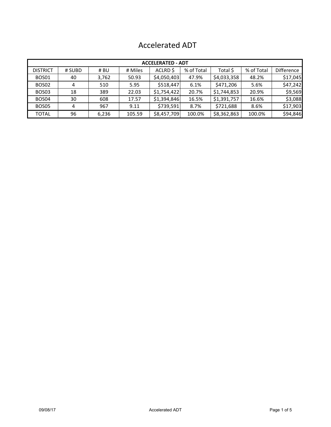|  | <b>Accelerated ADT</b> |  |
|--|------------------------|--|
|--|------------------------|--|

|                 | <b>ACCELERATED - ADT</b> |       |         |             |            |             |            |                   |  |  |  |  |
|-----------------|--------------------------|-------|---------|-------------|------------|-------------|------------|-------------------|--|--|--|--|
| <b>DISTRICT</b> | # SUBD                   | # BU  | # Miles | ACLRD \$    | % of Total | Total \$    | % of Total | <b>Difference</b> |  |  |  |  |
| <b>BOS01</b>    | 40                       | 3,762 | 50.93   | \$4,050,403 | 47.9%      | \$4,033,358 | 48.2%      | \$17,045          |  |  |  |  |
| BOS02           | 4                        | 510   | 5.95    | \$518,447   | 6.1%       | \$471,206   | 5.6%       | \$47,242          |  |  |  |  |
| BOS03           | 18                       | 389   | 22.03   | \$1,754,422 | 20.7%      | \$1,744,853 | 20.9%      | \$9,569           |  |  |  |  |
| BOS04           | 30                       | 608   | 17.57   | \$1,394,846 | 16.5%      | \$1,391,757 | 16.6%      | \$3,088           |  |  |  |  |
| BOS05           | 4                        | 967   | 9.11    | \$739,591   | 8.7%       | \$721,688   | 8.6%       | \$17,903          |  |  |  |  |
| <b>TOTAL</b>    | 96                       | 6,236 | 105.59  | \$8,457,709 | 100.0%     | \$8,362,863 | 100.0%     | \$94,846          |  |  |  |  |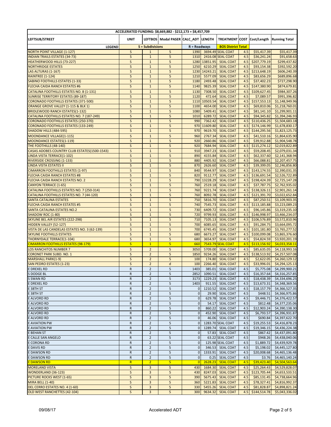|                                                                               |                                      |                                  | ACCELERATED FUNDING: \$8,669,882 - \$212,173 = \$8,457,709 |                               |                    |                                                |            |                             |                                          |
|-------------------------------------------------------------------------------|--------------------------------------|----------------------------------|------------------------------------------------------------|-------------------------------|--------------------|------------------------------------------------|------------|-----------------------------|------------------------------------------|
| LEFTSUB/STREET                                                                | <b>UNIT</b>                          |                                  | LEFTBOS   Modal PASER CALC ADT LENGTH                      |                               |                    |                                                |            |                             | TREATMENT COST Cost/Length Running Total |
|                                                                               |                                      |                                  |                                                            |                               |                    |                                                |            |                             |                                          |
| <b>LEGEND</b>                                                                 |                                      | S = Subdivisions                 |                                                            | $R = Roadways$                |                    | <b>BOS District Total</b><br>3694.49 SEAL COAT |            |                             |                                          |
| <b>NORTH POINT VILLAGE (1-127)</b><br><b>INDIAN TRAILS ESTATES (34-73)</b>    | S<br>$\mathsf{S}$                    | $\mathbf{1}$<br>$\mathbf 1$      | 5<br>5                                                     | 1390<br>1310                  |                    | 2416.08 SEAL COAT                              | 4.5<br>4.5 | \$55,417.39<br>\$36,241.24  | \$55,417.39<br>\$91,658.63               |
| <b>HEATHERWOOD HILLS (73-227)</b>                                             | $\sf S$                              | $\mathbf{1}$                     | 5                                                          |                               | 1280 13851.95      | <b>SEAL COAT</b>                               | 4.5        | \$207,779.19                | \$299,437.82                             |
| <b>NORTHRIDGE ESTATES</b>                                                     | $\sf S$                              | $\mathbf 1$                      | 5                                                          | 1250                          | 6210.29            | <b>SEAL COAT</b>                               | 4.5        | \$93,154.38                 | \$392,592.20                             |
| LAS ALTURAS (1-167)                                                           | S                                    | $\mathbf 1$                      | 5                                                          | 1230                          | 14243.21           | <b>SEAL COAT</b>                               | 4.5        | \$213,648.19                | \$606,240.39                             |
| <b>RAINTREE (1-124)</b>                                                       | $\sf S$                              | $\mathbf 1$                      | 5                                                          | 1210                          | 5577.09            | <b>SEAL COAT</b>                               | 4.5        | \$83,656.29                 | \$689,896.68                             |
| <b>SABINO FOOTHILLS ESTATES (1-33)</b>                                        | $\sf S$                              | $\mathbf 1$                      | 5                                                          | 1180                          | 2493.48            | <b>SEAL COAT</b>                               | 4.5        | \$37,402.23                 | \$727,298.90                             |
| <b>FLECHA CAIDA RANCH ESTATES #6</b>                                          | S                                    | $\mathbf{1}$                     | 5                                                          | 1140                          | 9825.39            | <b>SEAL COAT</b>                               | 4.5        | \$147,380.90                | \$874,679.81                             |
| <b>CATALINA FOOTHILLS ESTATES NO. 8 (1-131)</b>                               | $\sf S$                              | $\mathbf 1$                      | 5                                                          | 1130                          | 7308.50            | <b>SEAL COAT</b>                               | 4.5        | \$109,627.45                | \$984,307.26                             |
| <b>SUNRISE TERRITORY ESTATES (89-187)</b>                                     | $\sf S$                              | $1\,$                            | 5                                                          | 1120                          | 472.64             | <b>SEAL COAT</b>                               | 4.5        | \$7,089.57                  | \$991,396.82                             |
| <b>CORONADO FOOTHILLS ESTATES (371-500)</b>                                   | $\sf S$                              | $1\,$                            | 5                                                          | 1110                          | 10503.54           | <b>SEAL COAT</b>                               | 4.5        | \$157,553.13                | \$1,148,949.96                           |
| ORANGE GROVE VALLEY (1-115 & BLK 1)<br><b>BRIDLEWOOD RANCH ESTATES(1-132)</b> | $\sf S$<br>$\sf S$                   | $\mathbf{1}$<br>$\mathbf{1}$     | 5<br>5                                                     | 1100<br>1080                  | 4654.00            | <b>SEAL COAT</b>                               | 4.5<br>4.5 | \$69,810.06                 | \$1,218,760.01                           |
| CATALINA FOOTHILLS ESTATES NO. 7 (187-249)                                    | $\sf S$                              | $\mathbf{1}$                     | 5                                                          | 1010                          | 5409.41<br>6289.72 | <b>SEAL COAT</b><br><b>SEAL COAT</b>           | 4.5        | \$81,141.10<br>\$94,345.82  | \$1,299,901.11<br>\$1,394,246.93         |
| <b>CORONADO FOOTHILLS ESTATES (250-370)</b>                                   | $\mathsf{S}$                         | $\mathbf{1}$                     | 5                                                          | 990                           | 7362.42            | <b>SEAL COAT</b>                               | 4.5        | \$110,436.25                | \$1,504,683.18                           |
| <b>CORONADO FOOTHILLS ESTATES (133-249)</b>                                   | $\sf S$                              | $\mathbf{1}$                     | 5                                                          | 970                           | 11609.80           | <b>SEAL COAT</b>                               | 4.5        | \$174,146.99                | \$1,678,830.17                           |
| SHADOW HILLS (484-595)                                                        | $\mathsf{S}$                         | $\mathbf{1}$                     | 5                                                          | 970                           | 9619.70            | <b>SEAL COAT</b>                               | 4.5        | \$144,295.56                | \$1,823,125.73                           |
| <b>MOONDANCE VILLAGE(1-115)</b>                                               | $\sf S$                              | $\mathbf 1$                      | 5                                                          | 960                           | 2767.34            | <b>SEAL COAT</b>                               | 4.5        | \$41,510.16                 | \$1,864,635.90                           |
| <b>MOONDANCE ESTATES(1-119)</b>                                               | $\mathsf{S}$                         | $\mathbf 1$                      | 5                                                          | 920                           | 2660.86            | <b>SEAL COAT</b>                               | 4.5        | \$39,912.88                 | \$1,904,548.78                           |
| THE FOOTHILLS (48-140)                                                        | $\sf S$                              | $\mathbf 1$                      | 5                                                          | 920                           | 7684.94            | <b>SEAL COAT</b>                               | 4.5        | \$115,274.12                | \$2,019,822.89                           |
| CASAS ADOBES COUNTRY CLUB ESTATES(1500-1543)                                  | $\sf S$                              | $\mathbf{1}$                     | 5                                                          | 910                           | 3947.23            | <b>SEAL COAT</b>                               | 4.5        | \$59,208.45                 | \$2,079,031.34                           |
| LINDA VISTA TERRACE(1-102)                                                    | $\sf S$                              | $\mathbf 1$                      | 5                                                          | 890                           | 4155.84            | <b>SEAL COAT</b>                               | 4.5        | \$62,337.60                 | \$2,141,368.94                           |
| <b>RIVERSIDE CROSSING (1-133)</b>                                             | $\sf S$                              | $\mathbf 1$                      | 5                                                          | 880                           | 4405.92            | <b>SEAL COAT</b>                               | 4.5        | \$66,088.81                 | \$2,207,457.75                           |
| <b>LINDA VISTA ESTATES II</b>                                                 | $\sf S$                              | $\mathbf{1}$                     | 5                                                          | 870                           | 2626.60            | <b>SEAL COAT</b>                               | 4.5        | \$39,399.05                 | \$2,246,856.80                           |
| <b>CIMARRON FOOTHILLS ESTATES (1-97)</b>                                      | $\sf S$                              | $1\,$                            | 5                                                          | 840                           | 9544.97            | <b>SEAL COAT</b>                               | 4.5        | \$143,174.55                | \$2,390,031.35                           |
| <b>FLECHA CAIDA RANCH ESTATES #8</b>                                          | $\sf S$                              | $\mathbf{1}$                     | 5                                                          | 820                           | 9112.77            | <b>SEAL COAT</b>                               | 4.5        | \$136,691.54                | \$2,526,722.89                           |
| FLECHA CAIDA RANCH ESTATES NO. 2                                              | $\sf S$                              | $\mathbf{1}$                     | 5                                                          | 790                           | 13228.29           | <b>SEAL COAT</b>                               | 4.5        | \$198,424.39                | \$2,725,147.28                           |
| <b>CANYON TERRACE (1-65)</b>                                                  | $\sf S$                              | $\mathbf 1$                      | 5                                                          | 760                           | 2519.18            | <b>SEAL COAT</b>                               | 4.5        | \$37,787.75                 | \$2,762,935.02                           |
| CATALINA FOOTHILLS ESTATES NO. 7 (250-314)                                    | $\sf S$                              | $\mathbf 1$                      | 5                                                          | 760                           | 9221.74            | <b>SEAL COAT</b>                               | 4.5        | \$138,326.11                | \$2,901,261.14                           |
| CATALINA FOOTHILLS ESTATES NO. 7 (44-120)                                     | $\sf S$<br>$\sf S$                   | $\mathbf 1$<br>$\mathbf 1$       | 5<br>5                                                     | 760<br>750                    | 8092.78            | <b>SEAL COAT</b>                               | 4.5        | \$121,391.70                | \$3,022,652.84                           |
| <b>SANTA CATALINA ESTATES</b><br><b>FLECHA CAIDA RANCH ESTATES #5</b>         | $\sf S$                              | $1\,$                            | 5                                                          | 740                           | 5816.70<br>7545.73 | <b>SEAL COAT</b><br><b>SEAL COAT</b>           | 4.5<br>4.5 | \$87,250.51<br>\$113,185.88 | \$3,109,903.35<br>\$3,223,089.23         |
| <b>SANTA CATALINA ESTATES NO.2</b>                                            | $\sf S$                              | $\mathbf{1}$                     | 5                                                          | 730                           | 6409.72            | <b>SEAL COAT</b>                               | 4.5        | \$96,145.86                 | \$3,319,235.10                           |
| <b>SHADOW ROC (1-80)</b>                                                      | $\sf S$                              | $\mathbf 1$                      | 5                                                          | 720                           | 9799.93            | <b>SEAL COAT</b>                               | 4.5        | \$146,998.97                | \$3,466,234.07                           |
| SKYLINE BEL AIR ESTATES (222-298)                                             | $\sf S$                              | $\mathbf{1}$                     | 5                                                          | 710                           | 7105.13            | <b>SEAL COAT</b>                               | 4.5        | \$106,576.89                | \$3,572,810.96                           |
| <b>HIDDEN VALLEY (52-127)</b>                                                 | $\sf S$                              | $\mathbf{1}$                     | 5                                                          | 700                           | 6085.65            | <b>SEAL COAT</b>                               | 4.5        | \$91,284.75                 | \$3,664,095.72                           |
| VISTA DE LAS CANDELAS ESTATES NO. 3 (62-139)                                  | $\sf S$                              | $\mathbf{1}$                     | 5                                                          | 700                           | 6745.45            | <b>SEAL COAT</b>                               | 4.5        | \$101,181.80                | \$3,765,277.52                           |
| <b>SKYLINE FOOTHILLS ESTATES</b>                                              | $\sf S$                              | $\mathbf{1}$                     | 5                                                          | 680                           | 6673.27            | <b>SEAL COAT</b>                               | 4.5        | \$100,099.08                | \$3,865,376.60                           |
| <b>THORNYDALE TERRACE(1-104)</b>                                              | $\sf S$                              | $\mathbf{1}$                     | 5                                                          | 680                           | 3654.97            | <b>SEAL COAT</b>                               | 4.5        | \$54,824.59                 | \$3,920,201.19                           |
| <b>CIMARRON FOOTHILLS ESTATES (98-179)</b>                                    | $\overline{\mathsf{S}}$              | $\mathbf{1}$                     | 5                                                          | 660                           | 7543.79            | <b>SEAL COAT</b>                               | 4.5        | \$113,156.92                | \$4,033,358.11                           |
| <b>LOS RANCHITOS NUMBER 7</b>                                                 | $\sf S$                              | $\overline{2}$                   | 5                                                          | 3050                          | 5709.00            | <b>SEAL COAT</b>                               | 4.5        | \$85,635.05                 | \$4,118,993.16                           |
| <b>CORONET PARK SUBD. NO. 1</b>                                               | $\sf S$                              | $\overline{2}$                   | 5                                                          | 1850                          | 9234.26            | <b>SEAL COAT</b>                               | 4.5        | \$138,513.92                | \$4,257,507.08                           |
| <b>MARSHALL PARK(1-9)</b>                                                     | $\sf S$                              | $\overline{2}$                   | 5                                                          | 100                           | 174.80             | <b>SEAL COAT</b>                               | 4.5        | \$2,622.05                  | \$4,260,129.12                           |
| <b>SAN PEDRO ESTATES (1-23)</b>                                               | S                                    | $\overline{2}$                   | $\mathsf{d}$                                               | 100                           | 2266.40            | <b>SEAL COAT</b>                               | 4.5        | \$33,996.01                 | \$4,294,125.13                           |
| <b>E DREXEL RD</b>                                                            | ${\sf R}$                            | $\overline{2}$                   | 5                                                          | 1403                          | 385.01             | <b>SEAL COAT</b>                               | 4.5        | \$5,775.08                  | \$4,299,900.21                           |
| <b>S DODGE BL</b><br><b>S SWAN RD</b>                                         | ${\sf R}$<br>${\sf R}$               | $\overline{2}$                   | 5<br>5                                                     | 2852                          | 1090.51<br>1229.23 | <b>SEAL COAT</b>                               | 4.5        | \$16,357.64                 | \$4,316,257.85<br>\$4,334,696.25         |
| <b>E DREXEL RD</b>                                                            | ${\sf R}$                            | $\overline{2}$<br>$\overline{2}$ | 5                                                          | 3173<br>1403                  | 911.55             | <b>SEAL COAT</b><br><b>SEAL COAT</b>           | 4.5<br>4.5 | \$18,438.39<br>\$13,673.31  | \$4,348,369.56                           |
| E 38TH ST                                                                     | R                                    | $\overline{2}$                   | 5                                                          | 0                             | 1210.52            | <b>SEAL COAT</b>                               | 4.5        | \$18,157.79                 | \$4,366,527.35                           |
| E 38TH ST                                                                     | R                                    | $\overline{2}$                   | 5                                                          | 0                             | 29.90              | <b>SEAL COAT</b>                               | 4.5        | \$448.51                    | \$4,366,975.86                           |
| <b>E ALVORD RD</b>                                                            | R                                    | $\overline{2}$                   | 5                                                          | 0                             | 629.78             | <b>SEAL COAT</b>                               | 4.5        | \$9,446.71                  | \$4,376,422.57                           |
| <b>E ALVORD RD</b>                                                            | ${\sf R}$                            | $\overline{2}$                   | 5                                                          | 0                             | 54.17              | <b>SEAL COAT</b>                               | 4.5        | \$812.48                    | \$4,377,235.06                           |
| <b>E ALVORD RD</b>                                                            | ${\sf R}$                            | $\overline{2}$                   | 5                                                          | $\mathbf{0}$                  | 860.22             | <b>SEAL COAT</b>                               | 4.5        | \$12,903.24                 | \$4,390,138.30                           |
| <b>E ALVORD RD</b>                                                            | ${\sf R}$                            | $\overline{2}$                   | 5                                                          | $\mathbf 0$                   | 452.90             | <b>SEAL COAT</b>                               | 4.5        | \$6,793.57                  | \$4,396,931.87                           |
| <b>E ALVORD RD</b>                                                            | ${\sf R}$                            | $\overline{2}$                   | 5                                                          | $\mathbf{0}$                  | 46.06              | <b>SEAL COAT</b>                               | 4.5        | \$690.84                    | \$4,397,622.70                           |
| <b>E AVIATION PW</b>                                                          | ${\sf R}$                            | $\overline{2}$                   | 5                                                          | $\mathbf 0$                   |                    | 1283.70 SEAL COAT                              | 4.5        | \$19,255.53                 | \$4,416,878.23                           |
| <b>E AVIATION PW</b>                                                          | ${\sf R}$                            | $\overline{2}$                   | 5                                                          | $\mathbf 0$                   | 1289.74            | <b>SEAL COAT</b>                               | 4.5        | \$19,346.15                 | \$4,436,224.38                           |
| <b>E BEHAN ST</b>                                                             | ${\sf R}$                            | $\overline{2}$                   | 5                                                          | $\mathsf 0$                   | 57.83              | <b>SEAL COAT</b>                               | 4.5        | \$867.42                    | \$4,437,091.80                           |
| E CALLE SAN ANGELO                                                            | ${\sf R}$                            | $\overline{2}$                   | 5                                                          | $\mathsf 0$                   |                    | 63.22 SEAL COAT                                | 4.5        | \$948.26                    | \$4,438,040.06                           |
| E CORONA RD                                                                   | ${\sf R}$                            | $\overline{2}$                   | 5                                                          | $\mathbf 0$                   |                    | 125.98 SEAL COAT                               | 4.5        | \$1,889.72                  | \$4,439,929.78                           |
| <b>EDAVIS RD</b>                                                              | R                                    | $\overline{2}$                   | 5                                                          | $\mathbf{0}$                  | 346.53             | <b>SEAL COAT</b>                               | 4.5        | \$5,198.02                  | \$4,445,127.80                           |
| <b>E DAWSON RD</b>                                                            | ${\sf R}$                            | $\overline{2}$                   | 5                                                          | 0                             | 1333.91            | <b>SEAL COAT</b>                               | 4.5        | \$20,008.68                 | \$4,465,136.48                           |
| <b>E DAWSON RD</b><br><b>E DAWSON RD</b>                                      | ${\sf R}$<br>$\overline{\mathsf{R}}$ | $\overline{2}$                   | 5<br>5                                                     | $\mathbf 0$<br>$\overline{0}$ | 0.25<br>2628.23    | <b>SEAL COAT</b><br><b>SEAL COAT</b>           | 4.5        | \$3.76<br>\$39,423.40       | \$4,465,140.24                           |
| MORELAND VISTA                                                                | $\sf S$                              | $\overline{2}$<br>3              | 5                                                          | 430                           | 1684.30            | <b>SEAL COAT</b>                               | 4.5<br>4.5 | \$25,264.43                 | \$4,504,563.64<br>\$4,529,828.07         |
| <b>WONDERLAND (36-123)</b>                                                    | $\sf S$                              | 3                                | 5                                                          | 430                           | 8247.03            | <b>SEAL COAT</b>                               | 4.5        | \$123,705.44                | \$4,653,533.51                           |
| PICTURE ROCKS WEST (1-65)                                                     | S                                    | 3                                | 5                                                          | 390                           | 5675.43            | <b>SEAL COAT</b>                               | 4.5        | \$85,131.45                 | \$4,738,664.96                           |
| <b>MIRA BELL (1-40)</b>                                                       | $\sf S$                              | 3                                | 5                                                          | 360                           | 5221.83            | <b>SEAL COAT</b>                               | 4.5        | \$78,327.41                 | \$4,816,992.37                           |
| DEL CERRO ESTATES NO. 4 (1-60)                                                | $\sf S$                              | 3                                | 5                                                          | 330                           | 5455.26            | <b>SEAL COAT</b>                               | 4.5        | \$81,828.87                 | \$4,898,821.24                           |
| <b>OLD WEST RANCHETTES (42-104)</b>                                           | S                                    | 3                                | 5                                                          | 300                           | 9634.32            | <b>SEAL COAT</b>                               | 4.5        | \$144,514.78                | \$5,043,336.02                           |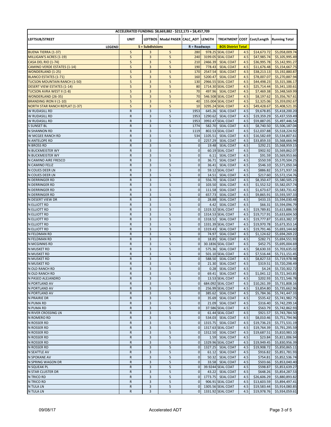|                                                       | ACCELERATED FUNDING: \$8,669,882 - \$212,173 = \$8,457,709 |                  |                                       |                             |                   |                                       |            |                            |                                          |  |
|-------------------------------------------------------|------------------------------------------------------------|------------------|---------------------------------------|-----------------------------|-------------------|---------------------------------------|------------|----------------------------|------------------------------------------|--|
| LEFTSUB/STREET                                        | <b>UNIT</b>                                                |                  | LEFTBOS   Modal PASER CALC ADT LENGTH |                             |                   |                                       |            |                            | TREATMENT COST Cost/Length Running Total |  |
|                                                       |                                                            |                  |                                       |                             |                   |                                       |            |                            |                                          |  |
| LEGEND                                                |                                                            | S = Subdivisions |                                       | $R =$ Roadways              |                   | <b>BOS District Total</b>             |            |                            |                                          |  |
| <b>BUENA TIERRA (1-37)</b>                            | S<br>S                                                     | 3<br>3           | 5<br>5                                | 280<br>240                  |                   | 978.25 SEAL COAT                      | 4.5        | \$14,673.72                | \$5,058,009.74                           |  |
| MILLIGAN'S ACRES (1-19)<br><b>CASA DEL RIO (1-74)</b> | S                                                          | 3                | 5                                     | 210                         | 2466.39           | 3199.05 SEAL COAT<br><b>SEAL COAT</b> | 4.5<br>4.5 | \$47,985.74<br>\$36,995.78 | \$5,105,995.49<br>\$5,142,991.27         |  |
| <b>CAMINO VERDE ESTATES (1-14)</b>                    | S                                                          | 3                | 5                                     | 190                         | 778.43            | <b>SEAL COAT</b>                      | 4.5        | \$11,676.48                | \$5,154,667.75                           |  |
| <b>WONDERLAND (1-25)</b>                              | $\sf S$                                                    | 3                | 5                                     | 170                         | 2547.54           | <b>SEAL COAT</b>                      | 4.5        | \$38,213.13                | \$5,192,880.87                           |  |
| <b>BLANCO ESTATES (1-71)</b>                          | $\sf S$                                                    | 3                | 5                                     | 160                         | 5200.47           | <b>SEAL COAT</b>                      | 4.5        | \$78,007.07                | \$5,270,887.94                           |  |
| <b>TUCSON MOUNTAIN RANCH (1-50)</b>                   | $\sf S$                                                    | 3                | 5                                     | 130                         | 2966.55           | <b>SEAL COAT</b>                      | 4.5        | \$44,498.23                | \$5,315,386.17                           |  |
| <b>DESERT VIEW ESTATES (1-14)</b>                     | $\sf S$                                                    | 3                | 5                                     | 80                          |                   | 1714.30 SEAL COAT                     | 4.5        | \$25,714.44                | \$5,341,100.61                           |  |
| <b>TUCSON AVRA WEST II (1-8)</b>                      | $\sf S$                                                    | 3                | 5                                     | 70                          | 497.96            | <b>SEAL COAT</b>                      | 4.5        | \$7,469.38                 | \$5,348,569.99                           |  |
| <b>WONDERLAND (26-35)</b>                             | S                                                          | 3                | 5                                     | 70                          |                   | <b>546.508 SEAL COAT</b>              | 4.5        | \$8,197.62                 | \$5,356,767.61                           |  |
| <b>BRANDING IRON II (1-10)</b>                        | S                                                          | 3                | 5                                     | 40                          |                   | 155.004 SEAL COAT                     | 4.5        | \$2,325.06                 | \$5,359,092.67                           |  |
| <b>NORTH STAR RANCH REPLAT (1-37)</b>                 | S                                                          | 3                | 5                                     | 10                          |                   | 3295.24 SEAL COAT                     | 4.5        | \$49,428.67                | \$5,408,521.35                           |  |
| W RUDASILL RD                                         | R<br>${\sf R}$                                             | 3<br>3           | 5<br>5                                | 1953<br>1953                | 645.26<br>1290.62 | <b>SEAL COAT</b><br><b>SEAL COAT</b>  | 4.5<br>4.5 | \$9,678.85<br>\$19,359.29  | \$5,418,200.20                           |  |
| W RUDASILL RD<br>W RUDASILL RD                        | $\mathsf R$                                                | 3                | 5                                     | 1953                        |                   | 3992.47 SEAL COAT                     | 4.5        | \$59,887.05                | \$5,437,559.49<br>\$5,497,446.54         |  |
| <b>S SUNSET BL</b>                                    | $\mathsf R$                                                | 3                | 5                                     | 1774                        | 582.70            | <b>SEAL COAT</b>                      | 4.5        | \$8,740.50                 | \$5,506,187.04                           |  |
| <b>N SHANNON RD</b>                                   | $\mathsf R$                                                | 3                | 5                                     | 1119                        |                   | 802.53 SEAL COAT                      | 4.5        | \$12,037.88                | \$5,518,224.92                           |  |
| W MCGEE RANCH RD                                      | ${\sf R}$                                                  | 3                | 5                                     | 534                         | 1105.51           | <b>SEAL COAT</b>                      | 4.5        | \$16,582.69                | \$5,534,807.61                           |  |
| N ANTELOPE RD                                         | ${\sf R}$                                                  | 3                | 5                                     | $\mathbf 0$                 | 2257.29           | <b>SEAL COAT</b>                      | 4.5        | \$33,859.33                | \$5,568,666.94                           |  |
| <b>N BROSS RD</b>                                     | ${\sf R}$                                                  | 3                | 5                                     | $\pmb{0}$                   | 19.48             | <b>SEAL COAT</b>                      | 4.5        | \$292.21                   | \$5,568,959.15                           |  |
| N BUCKMEISTER WY                                      | ${\sf R}$                                                  | 3                | 5                                     | $\mathbf{0}$                | 60.19             | <b>SEAL COAT</b>                      | 4.5        | \$902.92                   | \$5,569,862.07                           |  |
| N BUCKMEISTER WY                                      | $\mathsf R$                                                | 3                | 5                                     | $\mathbf 0$                 | 6.11              | <b>SEAL COAT</b>                      | 4.5        | \$91.59                    | \$5,569,953.66                           |  |
| N CAMINO AIRE FRESCO                                  | R                                                          | 3                | 5                                     | $\mathbf{0}$                | 36.71             | <b>SEAL COAT</b>                      | 4.5        | \$550.59                   | \$5,570,504.25                           |  |
| N CAMINO FELIZ                                        | R                                                          | 3                | 5                                     | $\pmb{0}$                   | 36.41             | <b>SEAL COAT</b>                      | 4.5        | \$546.10                   | \$5,571,050.34                           |  |
| N COUES DEER LN                                       | R                                                          | 3                | 5                                     | $\mathbf{0}$                |                   | 59.12 SEAL COAT                       | 4.5        | \$886.82                   | \$5,571,937.16                           |  |
| N COUES DEER LN                                       | R                                                          | 3                | 5                                     | $\mathbf{0}$                | 14.51             | <b>SEAL COAT</b>                      | 4.5        | \$217.60                   | \$5,572,154.76                           |  |
| N DERRINGER RD                                        | ${\sf R}$                                                  | 3                | 5                                     | $\mathbf{0}$                | 556.70            | <b>SEAL COAT</b>                      | 4.5        | \$8,350.47                 | \$5,580,505.23                           |  |
| N DERRINGER RD                                        | ${\sf R}$                                                  | 3                | 5                                     | $\pmb{0}$                   | 103.50            | <b>SEAL COAT</b>                      | 4.5        | \$1,552.52                 | \$5,582,057.74                           |  |
| N DERRINGER RD                                        | ${\sf R}$                                                  | 3                | 5                                     | $\mathbf{0}$                | 111.58            | <b>SEAL COAT</b>                      | 4.5        | \$1,673.67                 | \$5,583,731.42                           |  |
| N DERRINGER RD                                        | ${\sf R}$                                                  | 3                | 5                                     | $\pmb{0}$                   | 657.73            | <b>SEAL COAT</b>                      | 4.5        | \$9,865.91                 | \$5,593,597.33                           |  |
| N DESERT VIEW DR                                      | $\mathsf{R}$                                               | 3                | 5                                     | $\pmb{0}$                   | 28.88             | <b>SEAL COAT</b>                      | 4.5        | \$433.15                   | \$5,594,030.48                           |  |
| N ELLIOTT RD<br><b>N ELLIOTT RD</b>                   | R<br>${\sf R}$                                             | 3<br>3           | 5<br>5                                | $\pmb{0}$<br>$\mathbf{0}$   | 4.42              | <b>SEAL COAT</b><br>1319.32 SEAL COAT | 4.5<br>4.5 | \$66.31<br>\$19,789.81     | \$5,594,096.79<br>\$5,613,886.59         |  |
| <b>N ELLIOTT RD</b>                                   | R                                                          | 3                | 5                                     | $\mathbf 0$                 |                   | 1314.53 SEAL COAT                     | 4.5        | \$19,717.91                | \$5,633,604.50                           |  |
| <b>N ELLIOTT RD</b>                                   | $\mathsf{R}$                                               | 3                | 5                                     | $\mathbf 0$                 | 1318.52           | <b>SEAL COAT</b>                      | 4.5        | \$19,777.87                | \$5,653,382.37                           |  |
| <b>N ELLIOTT RD</b>                                   | R                                                          | 3                | 5                                     | $\mathbf 0$                 |                   | 1331.39 SEAL COAT                     | 4.5        | \$19,970.78                | \$5,673,353.14                           |  |
| <b>N ELLIOTT RD</b>                                   | $\mathsf R$                                                | 3                | 5                                     | $\pmb{0}$                   | 1319.43           | <b>SEAL COAT</b>                      | 4.5        | \$19,791.46                | \$5,693,144.60                           |  |
| N FELDMAN RD                                          | R                                                          | 3                | 5                                     | $\mathbf{0}$                | 74.97             | <b>SEAL COAT</b>                      | 4.5        | \$1,124.62                 | \$5,694,269.22                           |  |
| N FELDMAN RD                                          | ${\sf R}$                                                  | 3                | 5                                     | $\pmb{0}$                   | 18.85             | <b>SEAL COAT</b>                      | 4.5        | \$282.71                   | \$5,694,551.93                           |  |
| N MCGINNIS RD                                         | ${\sf R}$                                                  | 3                | 5                                     | $\pmb{0}$                   |                   | 30.1836 SEAL COAT                     | 4.5        | \$452.75                   | \$5,695,004.69                           |  |
| N MUSKET RD                                           | ${\sf R}$                                                  | 3                | 5                                     | $\mathbf 0$                 | 575.36            | <b>SEAL COAT</b>                      | 4.5        | \$8,630.33                 | \$5,703,635.02                           |  |
| N MUSKET RD                                           | ${\sf R}$                                                  | 3                | 5                                     | $\mathbf{0}$                |                   | 501.10 SEAL COAT                      | 4.5        | \$7,516.44                 | \$5,711,151.45                           |  |
| N MUSKET RD                                           | $\mathsf R$                                                | 3                | 5                                     | $\mathbf 0$                 | 588.50            | <b>SEAL COAT</b>                      | 4.5        | \$8,827.53                 | \$5,719,978.98                           |  |
| N MUSKET RD                                           | $\mathsf{R}$                                               | 3                | 5                                     | $\mathbf{0}$                | 21.30             | <b>SEAL COAT</b>                      | 4.5        | \$319.51                   | \$5,720,298.49                           |  |
| N OLD RANCH RD                                        | $\mathsf{R}$                                               | 3                | 5                                     | $\mathbf{0}$                |                   | 0.28 SEAL COAT                        | 4.5        | \$4.24                     | \$5,720,302.72                           |  |
| N OLD RANCH RD                                        | R                                                          | 3                | 5                                     | $\mathbf 0$                 |                   | 69.41 SEAL COAT                       | 4.5        |                            | \$1,041.12 \$5,721,343.85                |  |
| N PASEO ALEJANDRO                                     | ${\sf R}$                                                  | 3                | 5                                     | $\mathbf 0$                 |                   | 13.53 SEAL COAT                       | 4.5        | \$202.93                   | \$5,721,546.78                           |  |
| N PORTLAND AV<br>N PORTLAND AV                        | R<br>$\mathsf R$                                           | 3<br>3           | 5<br>5                                | $\mathbf{0}$<br>$\mathbf 0$ |                   | 684.092 SEAL COAT<br>256.99 SEAL COAT | 4.5<br>4.5 | \$10,261.39<br>\$3,854.80  | \$5,731,808.16<br>\$5,735,662.96         |  |
| N PORTLAND AV                                         | R                                                          | 3                | 5                                     | $\mathbf 0$                 |                   | 385.62 SEAL COAT                      | 4.5        | \$5,784.36                 | \$5,741,447.33                           |  |
| N PRAIRIE DR                                          | ${\sf R}$                                                  | 3                | 5                                     | $\mathbf 0$                 |                   | 35.69 SEAL COAT                       | 4.5        | \$535.42                   | \$5,741,982.75                           |  |
| N PUMA RD                                             | ${\sf R}$                                                  | 3                | 5                                     | $\mathbf{0}$                |                   | 21.09 SEAL COAT                       | 4.5        | \$316.40                   | \$5,742,299.14                           |  |
| <b>N PUMA RD</b>                                      | R                                                          | 3                | 5                                     | $\mathbf 0$                 |                   | 37.586 SEAL COAT                      | 4.5        | \$563.79                   | \$5,742,862.93                           |  |
| N RIVER CROSSING LN                                   | R                                                          | $\mathsf 3$      | 5                                     | $\mathbf 0$                 |                   | 61.44 SEAL COAT                       | 4.5        | \$921.57                   | \$5,743,784.50                           |  |
| N ROMERO RD                                           | ${\sf R}$                                                  | 3                | 5                                     | $\mathbf{0}$                |                   | 534.03 SEAL COAT                      | 4.5        | \$8,010.46                 | \$5,751,794.96                           |  |
| N ROSSER RD                                           | ${\sf R}$                                                  | 3                | 5                                     | $\mathbf 0$                 |                   | 1315.75 SEAL COAT                     | 4.5        | \$19,736.23                | \$5,771,531.19                           |  |
| <b>N ROSSER RD</b>                                    | R                                                          | 3                | 5                                     | $\mathbf{0}$                |                   | 1317.63 SEAL COAT                     | 4.5        | \$19,764.39                | \$5,791,295.59                           |  |
| N ROSSER RD                                           | R                                                          | 3                | 5                                     | $\mathbf 0$                 |                   | 1312.50 SEAL COAT                     | 4.5        | \$19,687.51                | \$5,810,983.10                           |  |
| N ROSSER RD                                           | R                                                          | 3                | 5                                     | $\mathbf{0}$                | 1.59              | <b>SEAL COAT</b>                      | 4.5        | \$23.84                    | \$5,811,006.94                           |  |
| N ROSSER RD                                           | ${\sf R}$                                                  | 3                | 5                                     | $\mathbf 0$                 |                   | 1329.96 SEAL COAT                     | 4.5        | \$19,949.45                | \$5,830,956.39                           |  |
| N ROSSER RD                                           | R                                                          | 3                | 5                                     | $\mathbf{0}$                | 1327.25           | <b>SEAL COAT</b>                      | 4.5        | \$19,908.72                | \$5,850,865.11                           |  |
| <b>N SEATTLE AV</b>                                   | ${\sf R}$                                                  | 3                | 5                                     | $\mathbf 0$                 |                   | 61.12 SEAL COAT                       | 4.5        | \$916.82                   | \$5,851,781.93                           |  |
| <b>N SPOKANE AV</b>                                   | $\mathsf{R}$                                               | 3                | 5                                     | $\mathbf 0$                 |                   | 50.32 SEAL COAT                       | 4.5        | \$754.81                   | \$5,852,536.74                           |  |
| N SPRING WAGON DR                                     | ${\sf R}$                                                  | 3                | 5                                     | $\mathbf 0$                 |                   | 33.58 SEAL COAT                       | 4.5        | \$503.66                   | \$5,853,040.40                           |  |
| N SQUEAK PL                                           | ${\sf R}$<br>${\sf R}$                                     | 3<br>3           | 5<br>5                                | $\mathbf 0$                 |                   | 39.9244 SEAL COAT                     | 4.5        | \$598.87                   | \$5,853,639.27                           |  |
| N STAR CLUSTER DR<br>N TRICO RD                       | ${\sf R}$                                                  | 3                | 5                                     | $\mathbf 0$<br>$\mathbf 0$  | 43.22             | <b>SEAL COAT</b><br>1773.75 SEAL COAT | 4.5<br>4.5 | \$648.26<br>\$26,606.29    | \$5,854,287.53<br>\$5,880,893.82         |  |
| N TRICO RD                                            | ${\sf R}$                                                  | 3                | 5                                     | $\mathbf 0$                 |                   | 906.91 SEAL COAT                      | 4.5        | \$13,603.59                | \$5,894,497.41                           |  |
| N TULA LN                                             | $\mathsf R$                                                | 3                | 5                                     | $\mathbf{0}$                |                   | 1305.56 SEAL COAT                     | 4.5        | \$19,583.44                | \$5,914,080.85                           |  |
| N TULA LN                                             | $\mathsf{R}$                                               | 3                | 5                                     | $\mathbf{0}$                |                   | 1331.92 SEAL COAT                     | 4.5        | \$19,978.76                | \$5,934,059.61                           |  |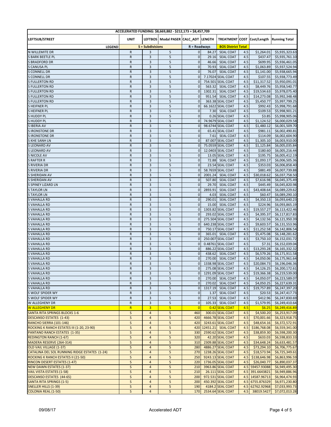| ACCELERATED FUNDING: \$8,669,882 - \$212,173 = \$8,457,709 |                        |                       |                                       |                                |         |                                               |            |                           |                                          |
|------------------------------------------------------------|------------------------|-----------------------|---------------------------------------|--------------------------------|---------|-----------------------------------------------|------------|---------------------------|------------------------------------------|
| LEFTSUB/STREET                                             | <b>UNIT</b>            |                       | LEFTBOS   Modal PASER CALC ADT LENGTH |                                |         |                                               |            |                           | TREATMENT COST Cost/Length Running Total |
|                                                            |                        |                       |                                       |                                |         |                                               |            |                           |                                          |
| LEGEND<br>N WILLEMITE DR                                   | ${\sf R}$              | S = Subdivisions<br>3 | 5                                     | $R =$ Roadways<br>$\mathbf 0$  | 84.27   | <b>BOS District Total</b><br><b>SEAL COAT</b> | 4.5        | \$1,264.01                | \$5,935,323.63                           |
| <b>S BARK BEETLE PL</b>                                    | ${\sf R}$              | 3                     | 5                                     | $\pmb{0}$                      | 29.16   | <b>SEAL COAT</b>                              | 4.5        | \$437.47                  | \$5,935,761.10                           |
| <b>S BRADFORD DR</b>                                       | ${\sf R}$              | 3                     | 5                                     | $\mathbf 0$                    | 46.66   | <b>SEAL COAT</b>                              | 4.5        | \$699.95                  | \$5,936,461.05                           |
| <b>S CANUSA PL</b>                                         | ${\sf R}$              | 3                     | 5                                     | $\pmb{0}$                      | 70.93   | <b>SEAL COAT</b>                              | 4.5        | \$1,063.89                | \$5,937,524.94                           |
| <b>S CONNELL DR</b>                                        | ${\sf R}$              | 3                     | 5                                     | $\mathbf 0$                    | 76.07   | <b>SEAL COAT</b>                              | 4.5        | \$1,141.00                | \$5,938,665.94                           |
| <b>S CONNELL DR</b>                                        | ${\sf R}$              | 3                     | 5                                     | $\mathbf 0$                    |         | 7.17024 SEAL COAT                             | 4.5        | \$107.55                  | \$5,938,773.49                           |
| <b>S FULLERTON RD</b>                                      | ${\sf R}$              | 3                     | 5                                     | $\pmb{0}$                      |         | 754.501 SEAL COAT                             | 4.5        | \$11,317.52               | \$5,950,091.01                           |
| <b>S FULLERTON RD</b>                                      | ${\sf R}$              | 3                     | 5                                     | $\mathbf{0}$                   | 563.32  | <b>SEAL COAT</b>                              | 4.5        | \$8,449.76                | \$5,958,540.77                           |
| <b>S FULLERTON RD</b>                                      | ${\sf R}$              | 3                     | 5                                     | $\mathbf{0}$                   | 1302.31 | <b>SEAL COAT</b>                              | 4.5        | \$19,534.63               | \$5,978,075.40                           |
| <b>S FULLERTON RD</b>                                      | ${\sf R}$              | 3<br>3                | 5                                     | $\mathbf{0}$<br>$\mathbf{0}$   | 951.54  | <b>SEAL COAT</b>                              | 4.5        | \$14,273.08               | \$5,992,348.48                           |
| <b>S FULLERTON RD</b><br><b>SHEIFNER PL</b>                | ${\sf R}$<br>${\sf R}$ | 3                     | 5<br>5                                | $\mathbf 0$                    |         | 363.38 SEAL COAT<br>66.1622 SEAL COAT         | 4.5<br>4.5 | \$5,450.77<br>\$992.43    | \$5,997,799.25<br>\$5,998,791.68         |
| <b>SHEIFNER PL</b>                                         | ${\sf R}$              | 3                     | 5                                     | $\mathbf 0$                    | 7.30    | <b>SEAL COAT</b>                              | 4.5        | \$109.53                  | \$5,998,901.21                           |
| <b>SHUDDY PL</b>                                           | ${\sf R}$              | 3                     | 5                                     | $\pmb{0}$                      |         | 0.26 SEAL COAT                                | 4.5        | \$3.85                    | \$5,998,905.06                           |
| <b>SHUDDYPL</b>                                            | ${\sf R}$              | 3                     | 5                                     | $\mathbf{0}$                   |         | 74.9679 SEAL COAT                             | 4.5        | \$1,124.52                | \$6,000,029.58                           |
| S IBERIA AV                                                | $\mathsf R$            | 3                     | 5                                     | $\mathbf 0$                    |         | 98.6744 SEAL COAT                             | 4.5        | \$1,480.12                | \$6,001,509.70                           |
| <b>S IRONSTONE DR</b>                                      | ${\sf R}$              | 3                     | 5                                     | $\mathbf 0$                    |         | 65.41 SEAL COAT                               | 4.5        | \$981.11                  | \$6,002,490.81                           |
| <b>S IRONSTONE DR</b>                                      | ${\sf R}$              | 3                     | 5                                     | $\mathbf 0$                    | 7.61    | <b>SEAL COAT</b>                              | 4.5        | \$114.09                  | \$6,002,604.90                           |
| <b>S KHE SANH LN</b>                                       | ${\sf R}$              | 3                     | 5                                     | $\mathbf{0}$                   |         | 87.007 SEAL COAT                              | 4.5        | \$1,305.10                | \$6,003,910.00                           |
| <b>S LEONARD AV</b>                                        | ${\sf R}$              | 3                     | 5                                     | $\mathbf 0$                    |         | 75.0559 SEAL COAT                             | 4.5        | \$1,125.84                | \$6,005,035.84                           |
| <b>S LEONARD AV</b>                                        | ${\sf R}$              | 3                     | 5                                     | $\mathbf{0}$                   |         | 12.0403 SEAL COAT                             | 4.5        | \$180.60                  | \$6,005,216.44                           |
| <b>S NICOLE AV</b>                                         | ${\sf R}$              | 3                     | 5                                     | $\mathbf{0}$                   |         | 13.05 SEAL COAT                               | 4.5        | \$195.75                  | \$6,005,412.19                           |
| <b>S RAFTER R</b><br><b>S RIVERIA DR</b>                   | ${\sf R}$<br>${\sf R}$ | 3<br>3                | 5<br>5                                | $\mathbf{0}$<br>$\mathbf 0$    | 72.88   | <b>SEAL COAT</b><br>23.54 SEAL COAT           | 4.5<br>4.5 | \$1,093.17<br>\$353.03    | \$6,006,505.36                           |
| <b>S RIVERIA DR</b>                                        | ${\sf R}$              | 3                     | 5                                     | $\mathbf 0$                    |         | 58.7659 SEAL COAT                             | 4.5        | \$881.49                  | \$6,006,858.40<br>\$6,007,739.88         |
| <b>S SHERIDAN AV</b>                                       | ${\sf R}$              | 3                     | 5                                     | $\mathbf 0$                    | 2001.24 | <b>SEAL COAT</b>                              | 4.5        | \$30,018.62               | \$6,037,758.50                           |
| <b>S SHERIDAN AV</b>                                       | ${\sf R}$              | 3                     | 5                                     | $\mathbf{0}$                   | 507.80  | <b>SEAL COAT</b>                              | 4.5        | \$7,616.98                | \$6,045,375.49                           |
| <b>S SPINEY LIZARD LN</b>                                  | ${\sf R}$              | 3                     | 5                                     | $\pmb{0}$                      | 29.70   | <b>SEAL COAT</b>                              | 4.5        | \$445.49                  | \$6,045,820.98                           |
| <b>STAYLOR LN</b>                                          | ${\sf R}$              | 3                     | 5                                     | $\mathbf 0$                    | 2893.91 | <b>SEAL COAT</b>                              | 4.5        | \$43,408.64               | \$6,089,229.62                           |
| <b>STAYLOR LN</b>                                          | ${\sf R}$              | 3                     | 5                                     | $\mathbf 0$                    | 4.03    | <b>SEAL COAT</b>                              | 4.5        | \$60.47                   | \$6,089,290.10                           |
| <b>S VAHALLA RD</b>                                        | ${\sf R}$              | 3                     | 5                                     | $\mathbf 0$                    | 290.01  | <b>SEAL COAT</b>                              | 4.5        | \$4,350.13                | \$6,093,640.23                           |
| <b>S VAHALLA RD</b>                                        | ${\sf R}$              | 3                     | 5                                     | $\mathbf 0$                    | 15.00   | <b>SEAL COAT</b>                              | 4.5        | \$224.96                  | \$6,093,865.19                           |
| <b>S VAHALLA RD</b>                                        | ${\sf R}$              | 3                     | 5                                     | $\mathbf{0}$                   |         | 1303.82 SEAL COAT                             | 4.5        | \$19,557.27               | \$6,113,422.46                           |
| <b>S VAHALLA RD</b>                                        | ${\sf R}$              | 3                     | 5                                     | $\mathbf{0}$                   |         | 293.02 SEAL COAT                              | 4.5        | \$4,395.37                | \$6,117,817.83                           |
| <b>S VAHALLA RD</b><br><b>S VAHALLA RD</b>                 | ${\sf R}$<br>${\sf R}$ | 3<br>3                | 5<br>5                                | $\mathbf 0$<br>$\mathbf{0}$    |         | 275.504 SEAL COAT<br>640.238 SEAL COAT        | 4.5<br>4.5 | \$4,132.56<br>\$9,603.57  | \$6,121,950.39<br>\$6,131,553.96         |
| <b>S VAHALLA RD</b>                                        | ${\sf R}$              | 3                     | 5                                     | $\mathbf 0$                    |         | 750.17 SEAL COAT                              | 4.5        | \$11,252.58               | \$6,142,806.54                           |
| <b>S VAHALLA RD</b>                                        | ${\sf R}$              | 3                     | 5                                     | $\mathbf{0}$                   | 365.01  | <b>SEAL COAT</b>                              | 4.5        | \$5,475.08                | \$6,148,281.62                           |
| <b>S VAHALLA RD</b>                                        | ${\sf R}$              | 3                     | 5                                     | $\mathbf 0$                    |         | 250.007 SEAL COAT                             | 4.5        | \$3,750.10                | \$6,152,031.72                           |
| <b>S VAHALLA RD</b>                                        | ${\sf R}$              | 3                     | 5                                     | $\mathbf 0$                    |         | 0.48761 SEAL COAT                             | 4.5        | \$7.31                    | \$6,152,039.04                           |
| <b>S VAHALLA RD</b>                                        | $\mathsf R$            | 3                     | 5                                     | $\mathbf 0$                    |         | 886.22 SEAL COAT                              | 4.5        | \$13,293.28               | \$6,165,332.32                           |
| <b>S VAHALLA RD</b>                                        | ${\sf R}$              | 3                     | 5                                     | $\mathbf 0$                    | 438.62  | <b>SEAL COAT</b>                              | 4.5        | \$6,579.26                | \$6,171,911.58                           |
| <b>S VAHALLA RD</b>                                        | ${\sf R}$              | 3                     | 5                                     | $\mathbf 0$                    | 270.00  | <b>SEAL COAT</b>                              | 4.5        | \$4,050.06                | \$6,175,961.64                           |
| <b>S VAHALLA RD</b>                                        | ${\sf R}$              | 3                     | 5                                     | $\mathbf 0$                    |         | 1338.98 SEAL COAT                             | 4.5        | \$20,084.73               | \$6,196,046.36                           |
| <b>SVAHALLA RD</b>                                         | ${\sf R}$              | 3                     | 5                                     | $\mathbf 0$                    |         | 275.08 SEAL COAT                              | 4.5        | \$4,126.25                | \$6,200,172.61                           |
| <b>S VAHALLA RD</b>                                        | R                      | 3<br>3                | 5                                     | $\overline{0}$<br>$\mathbf{0}$ |         | 1291.09 SEAL COAT                             | 4.5<br>4.5 | \$19,366.38<br>\$4,050.07 | \$6,219,539.00                           |
| <b>S VAHALLA RD</b><br><b>S VAHALLA RD</b>                 | ${\sf R}$<br>R         | 3                     | 5<br>5                                | $\mathbf{0}$                   |         | 270.00 SEAL COAT<br>270.02 SEAL COAT          | 4.5        | \$4,050.25                | \$6,223,589.07<br>\$6,227,639.31         |
| <b>S VAHALLA RD</b>                                        | R                      | 3                     | 5                                     | $\mathbf 0$                    |         | 1317.19 SEAL COAT                             | 4.5        | \$19,757.89               | \$6,247,397.20                           |
| <b>S WOLF SPIDER WY</b>                                    | R                      | 3                     | 5                                     | $\mathbf 0$                    |         | 1.37 SEAL COAT                                | 4.5        | \$20.53                   | \$6,247,417.73                           |
| S WOLF SPIDER WY                                           | R                      | 3                     | 5                                     | $\mathbf 0$                    |         | 27.53 SEAL COAT                               | 4.5        | \$412.96                  | \$6,247,830.69                           |
| W ALLEGHENY DR                                             | R                      | 3                     | 5                                     | $\mathbf{0}$                   |         | 105.33 SEAL COAT                              | 4.5        | \$1,579.95                | \$6,249,410.64                           |
| <b>W ALLEGHENY DR</b>                                      | $\mathsf{R}$           | 3                     | 5                                     | $\overline{0}$                 |         | 0.42 SEAL COAT                                | 4.5        | \$6.25                    | \$6,249,416.89                           |
| <b>SANTA RITA SPRINGS BLOCKS 1-6</b>                       | $\sf S$                | $\overline{a}$        | 5                                     | 460                            |         | 300.01 SEAL COAT                              | 4.5        | \$4,500.20                | \$6,253,917.09                           |
| <b>DESCANSO ESTATES (1-43)</b>                             | $\mathsf{S}$           | $\overline{4}$        | 5                                     | 420                            |         | 4666.78 SEAL COAT                             | 4.5        | \$70,001.66               | \$6,323,918.75                           |
| RANCHO SIERRA (101-146)                                    | $\sf S$                | $\overline{4}$        | 5                                     | 420                            |         | 3243.61 SEAL COAT                             | 4.5        | \$48,654.16               | \$6,372,572.91                           |
| ROCKING K RANCH ESTATES III (1-20, 23-90)                  | $\sf S$                | $\overline{a}$        | 5                                     | 420                            |         | 12451.21 SEAL COAT                            | 4.5        | \$186,768.08              | \$6,559,341.00                           |
| <b>PANTANO RANCH ESTATES (1-35)</b>                        | $\sf S$                | $\overline{4}$        | 5                                     | 330                            |         | 2590.62 SEAL COAT                             | 4.5        | \$38,859.30               | \$6,598,200.30                           |
| <b>REDINGTON RANCH (1-67)</b>                              | $\sf S$<br>$\sf S$     | 4<br>$\overline{4}$   | 5<br>5                                | 320<br>310                     |         | 42.20 SEAL COAT<br>2309.88 SEAL COAT          | 4.5        | \$633.03<br>\$34,648.24   | \$6,598,833.33                           |
| MADERA RESERVE (264-314)<br>OLD VAIL VILLAGE (1-37)        | $\sf S$                | $\overline{4}$        | 5                                     | 280                            |         | 4886.27 SEAL COAT                             | 4.5<br>4.5 | \$73,294.10               | \$6,633,481.57<br>\$6,706,775.67         |
| CATALINA DEL SOL RUNNING RIDGE ESTATES (1-24)              | $\sf S$                | $\overline{4}$        | 5                                     | 270                            |         | 1238.26 SEAL COAT                             | 4.5        | \$18,573.94               | \$6,725,349.61                           |
| ROCKING K RANCH ESTATES II (21-50)                         | $\sf S$                | $\overline{4}$        | 5                                     | 250                            |         | 9243.13 SEAL COAT                             | 4.5        | \$138,646.98              | \$6,863,996.59                           |
| <b>RINCON DESERT ESTATES (1-47)</b>                        | S                      | $\overline{4}$        | 5                                     | 220                            |         | 1736.05 SEAL COAT                             | 4.5        | \$26,040.77               | \$6,890,037.37                           |
| <b>NEW DAWN ESTATES (1-37)</b>                             | $\sf S$                | $\overline{4}$        | 5                                     | 210                            |         | 3963.86 SEAL COAT                             |            | 4.5 59457.93088           | \$6,949,495.30                           |
| <b>VAIL VISTA ESTATES (1-58)</b>                           | S                      | $\overline{4}$        | 5                                     | 210                            |         | 26.111 SEAL COAT                              |            | 4.5 391.6643821           | \$6,949,886.96                           |
| <b>DESCANSO ESTATES (44-65)</b>                            | $\mathsf{S}$           | $\overline{4}$        | 5                                     | 200                            |         | 972.531 SEAL COAT                             |            | 4.5 14587.96713           | \$6,964,474.93                           |
| <b>SANTA RITA SPRINGS (1-5)</b>                            | S                      | $\overline{4}$        | 5                                     | 200                            |         | 450.392 SEAL COAT                             |            | 4.5 6755.876329           | \$6,971,230.80                           |
| <b>SNELLER HILLS (1-39)</b>                                | S                      | $\overline{4}$        | 5                                     | 190                            |         | 4184.2 SEAL COAT                              |            | 4.5 62762.92968           | \$7,033,993.73                           |
| <b>COLONIA REAL (1-50)</b>                                 | S                      | $\overline{4}$        | 5                                     | 170                            |         | 2534.64 SEAL COAT                             | 4.5        | 38019.5427                | \$7,072,013.28                           |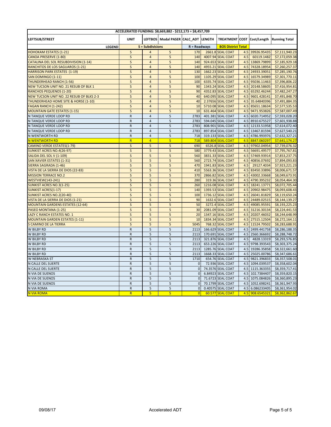| ACCELERATED FUNDING: \$8,669,882 - \$212,173 = \$8,457,709 |                         |                         |                                |                |               |                           |     |                 |                                          |  |
|------------------------------------------------------------|-------------------------|-------------------------|--------------------------------|----------------|---------------|---------------------------|-----|-----------------|------------------------------------------|--|
| LEFTSUB/STREET                                             | <b>UNIT</b>             |                         | LEFTBOS   Modal PASER CALC ADT |                | <b>LENGTH</b> |                           |     |                 | TREATMENT COST Cost/Length Running Total |  |
| LEGEND                                                     |                         | <b>S</b> = Subdivisions |                                | $R = Roadways$ |               | <b>BOS District Total</b> |     |                 |                                          |  |
| <b>HOHOKAM ESTATES (1-21)</b>                              | S                       | 4                       | 5                              | 170            |               | 2661.8 SEAL COAT          | 4.5 | 39926.95435     | \$7,111,940.23                           |  |
| CANOA PRESERVE (1-80)                                      | $\sf S$                 | $\overline{4}$          | $\sqrt{5}$                     | 140            |               | 4007.94 SEAL COAT         | 4.5 | 60119.1482      | \$7,172,059.38                           |  |
| CATALINA DEL SOL RESUBDIVISION (1-14)                      | S                       | $\overline{4}$          | 5                              | 140            |               | 924.653 SEAL COAT         |     | 4.5 13869.79899 | \$7,185,929.18                           |  |
| RANCHITOS DE LOS SAGUAROS (1-21)                           | $\mathsf{S}$            | $\overline{4}$          | 5                              | 140            |               | 4955.21 SEAL COAT         | 4.5 | 74328.18954     | \$7,260,257.37                           |  |
| <b>HARRISON PARK ESTATES (1-19)</b>                        | S                       | $\overline{\mathbf{4}}$ | 5                              | 130            |               | 1662.23 SEAL COAT         | 4.5 | 24933.39051     | \$7,285,190.76                           |  |
| SAN DOMINGO (1-11)                                         | $\overline{\mathsf{s}}$ | $\overline{4}$          | 5                              | 100            |               | 1105.29 SEAL COAT         | 4.5 | 16579.34989     | \$7,301,770.11                           |  |
| THUNDERHEAD RANCH (1-56)                                   | $\mathsf{S}$            | $\overline{4}$          | 5                              | 100            |               | 6335.74 SEAL COAT         | 4.5 | 95036.11463     | \$7,396,806.22                           |  |
| NEW TUCSON UNIT NO. 21 RESUB OF BLK 1                      | $\mathsf{s}$            | $\overline{a}$          | 5                              | 90             |               | 1343.24 SEAL COAT         | 4.5 | 20148.58605     | \$7,416,954.81                           |  |
| <b>RANCHOS PEQUENOS (1-20)</b>                             | S                       | $\overline{\mathbf{4}}$ | 5                              | 90             |               | 4352.83 SEAL COAT         | 4.5 | 65292.46244     | \$7,482,247.27                           |  |
| NEW TUCSON UNIT NO. 22 RESUB OF BLKS 2-3                   | S                       | $\overline{4}$          | 5                              | 40             |               | 640.095 SEAL COAT         | 4.5 | 9601.428141     | \$7,491,848.70                           |  |
| THUNDERHEAD HOME SITE & HORSE (1-10)                       | S                       | $\overline{4}$          | 5                              | 40             |               | 2.37656 SEAL COAT         | 4.5 | 35.64840396     | \$7,491,884.35                           |  |
| FAGAN RANCH (1-242)                                        | $\overline{\mathsf{s}}$ | $\overline{4}$          | 5                              | 10             |               | 5710.08 SEAL COAT         | 4.5 | 85651.18634     | \$7,577,535.53                           |  |
| <b>MOUNTAIN GATE ESTATES (1-15)</b>                        | S                       | $\overline{4}$          | 5                              | 10             |               | 631.464 SEAL COAT         | 4.5 | 9471.953826     | \$7,587,007.49                           |  |
| N TANQUE VERDE LOOP RD                                     | $\mathsf{R}$            | $\overline{4}$          | 5                              | 2783           |               | 401.381 SEAL COAT         | 4.5 | 6020.714952     | \$7,593,028.20                           |  |
| N TANQUE VERDE LOOP RD                                     | $\mathsf R$             | $\overline{4}$          | 5                              | 2783           |               | 594.045 SEAL COAT         | 4.5 | 8910.675527     | \$7,601,938.88                           |  |
| N TANQUE VERDE LOOP RD                                     | $\mathsf R$             | $\overline{4}$          | 5                              | 2783           |               | 808.901 SEAL COAT         | 4.5 | 12133.51958     | \$7,614,072.40                           |  |
| N TANQUE VERDE LOOP RD                                     | ${\sf R}$               | $\overline{4}$          | 5                              | 2783           |               | 897.854 SEAL COAT         |     | 4.5 13467.81594 | \$7,627,540.21                           |  |
| N WENTWORTH RD                                             | ${\sf R}$               | $\overline{4}$          | 5                              | 718            |               | 319.133 SEAL COAT         | 4.5 | 4786.993976     | \$7,632,327.21                           |  |
| N WENTWORTH RD                                             | $\overline{\mathsf{R}}$ | $\overline{4}$          | $\overline{5}$                 | 718            |               | 589.804 SEAL COAT         | 4.5 | 8847.060297     | \$7,641,174.27                           |  |
| <b>CAMINO VERDE ESTATES(1-79)</b>                          | S                       | 5                       | 5                              | 690            |               | 6526.8 SEAL COAT          | 4.5 | 97902.04954     | \$7,739,076.32                           |  |
| <b>SUNKIST ACRES NO.4(26-97)</b>                           | $\sf S$                 | 5                       | $\sqrt{5}$                     | 580            |               | 3779.43 SEAL COAT         | 4.5 | 56691.49577     | \$7,795,767.81                           |  |
| SALIDA DEL SOL V (1-109)                                   | $\sf S$                 | 5                       | 5                              | 560            |               | 3831.33 SEAL COAT         | 4.5 | 57469.93914     | \$7,853,237.75                           |  |
| <b>SAN XAVIER ESTATES (1-31)</b>                           | S                       | 5                       | 5                              | 560            |               | <b>2723.74 SEAL COAT</b>  | 4.5 | 40856.07692     | \$7,894,093.83                           |  |
| SIERRA SAGRADA (1-46)                                      | S                       | 5                       | $\sqrt{5}$                     | 470            |               | 1941.83 SEAL COAT         | 4.5 | 29127.4034      | \$7,923,221.23                           |  |
| VISTA DE LA SIERRA DE DIOS (22-83)                         | $\mathsf{s}$            | 5                       | 5                              | 410            |               | 5563.36 SEAL COAT         | 4.5 | 83450.33896     | \$8,006,671.57                           |  |
| <b>MISSION TERRACE NO.2</b>                                | S                       | 5                       | 5                              | 370            |               | 2866.82 SEAL COAT         | 4.5 | 43002.33668     | \$8,049,673.91                           |  |
| <b>WESTVIEW(143-241)</b>                                   | $\overline{\mathsf{S}}$ | 5                       | 5                              | 280            |               | 319.36 SEAL COAT          | 4.5 | 4790.395232     | \$8,054,464.30                           |  |
| <b>SUNKIST ACRES NO.3(1-25)</b>                            | $\sf S$                 | 5                       | 5                              | 260            |               | 1216.08 SEAL COAT         | 4.5 | 18241.13771     | \$8,072,705.44                           |  |
| <b>SUNKIST ACRES(1-17)</b>                                 | S                       | 5                       | 5                              | 140            |               | 1393.53 SEAL COAT         |     | 4.5 20902.98475 | \$8,093,608.43                           |  |
| SUNKIST ACRES NO.2(20-40)                                  | $\sf S$                 | 5                       | 5                              | 100            |               | 1736.12 SEAL COAT         | 4.5 | 26041.81829     | \$8,119,650.24                           |  |
| VISTA DE LA SIERRA DE DIOS (1-21)                          | S                       | 5                       | 5                              | 90             |               | 1632.6 SEAL COAT          | 4.5 | 24489.02515     | \$8,144,139.27                           |  |
| <b>MOUNTAIN GARDENS ESTATES (12-64)</b>                    | $\overline{\mathsf{S}}$ | 5                       | 5                              | 50             |               | 3272.4 SEAL COAT          | 4.5 | 49085.95591     | \$8,193,225.23                           |  |
| PASEO MONTANA (1-25)                                       | $\mathsf{S}$            | 5                       | 5                              | 30             |               | 2081.09 SEAL COAT         | 4.5 | 31216.30134     | \$8,224,441.53                           |  |
| LAZY C RANCH ESTATES NO. 1                                 | $\sf S$                 | 5                       | 5                              | 20             |               | 1347.16 SEAL COAT         | 4.5 | 20207.46032     | \$8,244,648.99                           |  |
| <b>MOUNTAIN GARDEN ESTATES (1-11)</b>                      | S                       | 5                       | 5                              | 10             |               | 1834.34 SEAL COAT         | 4.5 | 27515.12504     | \$8,272,164.11                           |  |
| <b>S CAMINO DE LA TIERRA</b>                               | S                       | 5                       | 5                              | 5045           |               | 768.32 SEAL COAT          | 4.5 | 11524.79502     | \$8,283,688.91                           |  |
| W BILBY RD                                                 | ${\sf R}$               | 5                       | 5                              | 2113           |               | 166.629 SEAL COAT         | 4.5 | 2499.441758     | \$8,286,188.35                           |  |
| W BILBY RD                                                 | ${\sf R}$               | 5                       | 5                              | 2113           |               | 170.691 SEAL COAT         | 4.5 | 2560.366692     | \$8,288,748.72                           |  |
| W BILBY RD                                                 | ${\sf R}$               | 5                       | 5                              | 2113           |               | 321.876 SEAL COAT         | 4.5 | 4828.13319      | \$8,293,576.85                           |  |
| W BILBY RD                                                 | ${\sf R}$               | 5                       | 5                              | 2113           |               | 653.226 SEAL COAT         | 4.5 | 9798.393543     | \$8,303,375.24                           |  |
| W BILBY RD                                                 | ${\sf R}$               | 5                       | 5                              | 2113           |               | 1285.76 SEAL COAT         | 4.5 | 19286.35858     | \$8,322,661.60                           |  |
| W BILBY RD                                                 | ${\sf R}$               | 5                       | 5                              | 2113           |               | 1668.33 SEAL COAT         | 4.5 | 25025.00786     | \$8,347,686.61                           |  |
| <b>W NEBRASKA ST</b>                                       | $\mathsf R$             | 5                       | 5                              | 1710           |               | 654.76 SEAL COAT          | 4.5 | 9821.396833     | \$8,357,508.01                           |  |
| N CALLE DEL SUERTE                                         | ${\sf R}$               | 5                       | 5                              | $\mathbf 0$    |               | 72.936 SEAL COAT          | 4.5 | 1094.039537     | \$8,358,602.04                           |  |
| N CALLE DEL SUERTE                                         | ${\sf R}$               | 5                       | 5                              | $\mathbf 0$    |               | 74.3576 SEAL COAT         | 4.5 | 1115.363355     | \$8,359,717.41                           |  |
| N VIA DE SUENOS                                            | ${\sf R}$               | 5                       | 5                              | $\mathbf{0}$   |               | 6.84923 SEAL COAT         | 4.5 | 102.7384407     | \$8,359,820.15                           |  |
| N VIA DE SUENOS                                            | ${\sf R}$               | 5                       | 5                              | $\mathbf 0$    |               | 71.6723 SEAL COAT         | 4.5 | 1075.084826     | \$8,360,895.23                           |  |
| N VIA DE SUENOS                                            | $\mathsf{R}$            | 5                       | 5                              | $\mathbf{0}$   |               | 70.1799 SEAL COAT         | 4.5 | 1052.698241     | \$8,361,947.93                           |  |
| <b>N VIA ROMA</b>                                          | ${\sf R}$               | 5                       | 5                              | $\mathbf{0}$   |               | 0.40575 SEAL COAT         | 4.5 | 6.086233405     | \$8,361,954.02                           |  |
|                                                            | $\overline{\mathsf{R}}$ | $\overline{5}$          | 5                              | $\overline{0}$ |               | 60.577 SEAL COAT          |     | 4.5 908.6545321 |                                          |  |
| N VIA ROMA                                                 |                         |                         |                                |                |               |                           |     |                 | \$8,362,862.67                           |  |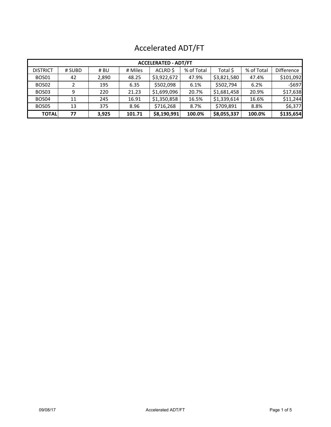| <b>ACCELERATED - ADT/FT</b> |        |       |         |             |            |             |            |                   |  |  |  |
|-----------------------------|--------|-------|---------|-------------|------------|-------------|------------|-------------------|--|--|--|
| <b>DISTRICT</b>             | # SUBD | # BU  | # Miles | ACLRD \$    | % of Total | Total \$    | % of Total | <b>Difference</b> |  |  |  |
| BOS01                       | 42     | 2,890 | 48.25   | \$3,922,672 | 47.9%      | \$3,821,580 | 47.4%      | \$101,092         |  |  |  |
| BOS02                       |        | 195   | 6.35    | \$502,098   | 6.1%       | \$502,794   | 6.2%       | $-5697$           |  |  |  |
| BOS <sub>03</sub>           | 9      | 220   | 21.23   | \$1,699,096 | 20.7%      | \$1,681,458 | 20.9%      | \$17,638          |  |  |  |
| BOS04                       | 11     | 245   | 16.91   | \$1,350,858 | 16.5%      | \$1,339,614 | 16.6%      | \$11,244          |  |  |  |
| BOS05                       | 13     | 375   | 8.96    | \$716,268   | 8.7%       | \$709,891   | 8.8%       | \$6,377           |  |  |  |
| <b>TOTAL</b>                | 77     | 3,925 | 101.71  | \$8,190,991 | 100.0%     | \$8,055,337 | 100.0%     | \$135,654         |  |  |  |

# Accelerated ADT/FT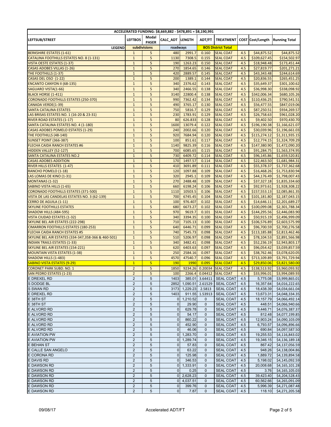| ACCELERATED FUNDING: \$8,669,882 - \$478,891 = \$8,190,991                      |                                           |                       |                                  |                    |                |                                      |            |                             |                                          |  |
|---------------------------------------------------------------------------------|-------------------------------------------|-----------------------|----------------------------------|--------------------|----------------|--------------------------------------|------------|-----------------------------|------------------------------------------|--|
| LEFTSUB/STREET                                                                  | <b>LEFTBOS</b>                            | Modal<br><b>PASER</b> | CALC_ADT LENGTH                  |                    | ADT/FT         |                                      |            |                             | TREATMENT COST Cost/Length Running Total |  |
| <b>LEGEND</b>                                                                   |                                           | subdivisions          | roadways                         |                    |                | <b>BOS District Total</b>            |            |                             |                                          |  |
| <b>BERKSHIRE ESTATES (1-61)</b>                                                 | $\mathbf 1$                               | 5                     | 480                              | 2991.7             | 0.160          | <b>SEAL COAT</b>                     | 4.5        | \$44,875.52                 | \$44,875.52                              |  |
| CATALINA FOOTHILLS ESTATES NO. 8 (1-131)                                        | $\mathbf{1}$                              | 5                     | 1130                             | 7308.5             | 0.155          | <b>SEAL COAT</b>                     | 4.5        | \$109,627.45                | \$154,502.97                             |  |
| VISTA OESTE ESTATES (1-37)                                                      | $\mathbf{1}$                              | 5                     | 190                              | 1263.23            | 0.150          | <b>SEAL COAT</b>                     | 4.5        | \$18,948.48                 | \$173,451.44                             |  |
| <b>CASAS ADOBES VILLAS (1-26)</b>                                               | $\mathbf{1}$                              | 5                     | 270                              | 1854.65            | 0.146          | <b>SEAL COAT</b>                     | 4.5        | \$27,819.77                 | \$201,271.21                             |  |
| THE FOOTHILLS (1-37)                                                            | $\mathbf{1}$                              | 5                     | 420                              | 2889.57            | 0.145          | <b>SEAL COAT</b>                     | 4.5        | \$43,343.48                 | \$244,614.69                             |  |
| CASAS DEL OSO (1-22)                                                            | $\mathbf{1}$                              | 5                     | 200                              | 1389.1             | 0.144          | <b>SEAL COAT</b>                     | 4.5        | \$20,836.55                 | \$265,451.25                             |  |
| <b>ENCANTO CANYON II (68-135)</b>                                               | $\mathbf 1$                               | 5                     | 340                              | 2376.62            | 0.143          | <b>SEAL COAT</b>                     | 4.5        | \$35,649.37                 | \$301,100.62                             |  |
| SAGUARO VISTA(1-66)                                                             | $\mathbf{1}$                              | 5                     | 340                              | 2466.55            | 0.138          | <b>SEAL COAT</b>                     | 4.5        | \$36,998.30                 | \$338,098.92                             |  |
| <b>BLACK HORSE (1-411)</b>                                                      | $\mathbf{1}$                              | 5                     | 3140                             | 22800.4            | 0.138          | <b>SEAL COAT</b>                     | 4.5        | \$342,006.34                | \$680,105.26                             |  |
| <b>CORONADO FOOTHILLS ESTATES (250-370)</b>                                     | $\mathbf{1}$                              | 5                     | 990                              | 7362.42            | 0.134          | <b>SEAL COAT</b>                     | 4.5        | \$110,436.25                | \$790,541.51                             |  |
| CANADA VERDE(1-39)                                                              | $\mathbf{1}$                              | 5                     | 490                              | 3765.17            | 0.130          | <b>SEAL COAT</b>                     | 4.5        | \$56,477.55                 | \$847,019.06                             |  |
| <b>SANTA CATALINA ESTATES</b>                                                   | $\mathbf 1$                               | 5                     | 750                              | 5816.7             | 0.129          | <b>SEAL COAT</b>                     | 4.5        | \$87,250.51                 | \$934,269.57                             |  |
| LAS BRISAS ESTATES NO. 1 (16-20 & 23-31)                                        | $\mathbf{1}$                              | 5                     | 230                              | 1783.91            | 0.129          | <b>SEAL COAT</b>                     | 4.5        | \$26,758.63                 | \$961,028.20                             |  |
| <b>RIVER ROAD ESTATES (1-17)</b>                                                | $\mathbf{1}$                              | 5                     | 80                               | 626.833            | 0.128          | <b>SEAL COAT</b>                     | 4.5        | \$9,402.50                  | \$970,430.70                             |  |
| SANTA CATALINA ESTATES NO. 4 (1-180)                                            | $\mathbf{1}$                              | 5                     | 1600                             | 13079.4            | 0.122          | <b>SEAL COAT</b>                     | 4.5        | \$196,190.38                | \$1,166,621.07                           |  |
| <b>CASAS ADOBES POMELO ESTATES (1-29)</b>                                       | $\mathbf 1$                               | 5                     | 240                              | 2002.66            | 0.120          | <b>SEAL COAT</b>                     | 4.5        | \$30,039.96                 | \$1,196,661.03                           |  |
| THE FOOTHILLS (48-140)<br><b>SUNSET POINT (366-387)</b>                         | $\mathbf 1$                               | 5                     | 920                              | 7684.94            | 0.120          | <b>SEAL COAT</b>                     | 4.5        | \$115,274.12                | \$1,311,935.15                           |  |
| <b>FLECHA CAIDA RANCH ESTATES #6</b>                                            | $\mathbf{1}$<br>$\mathbf{1}$              | 5<br>5                | 100<br>1140                      | 851.61<br>9825.39  | 0.117<br>0.116 | <b>SEAL COAT</b><br><b>SEAL COAT</b> | 4.5<br>4.5 | \$12,774.15<br>\$147,380.90 | \$1,324,709.29                           |  |
| <b>HIDDEN VALLEY (52-127)</b>                                                   | $\mathbf{1}$                              | 5                     | 700                              | 6085.65            | 0.115          | <b>SEAL COAT</b>                     | 4.5        | \$91,284.75                 | \$1,472,090.20<br>\$1,563,374.95         |  |
| <b>SANTA CATALINA ESTATES NO.2</b>                                              | $\mathbf 1$                               | 5                     | 730                              | 6409.72            | 0.114          | <b>SEAL COAT</b>                     | 4.5        | \$96,145.86                 | \$1,659,520.81                           |  |
| <b>CASAS ADOBES ADDITION</b>                                                    | $\mathbf{1}$                              | 5                     | 170                              | 1497.57            | 0.114          | <b>SEAL COAT</b>                     | 4.5        | \$22,463.50                 | \$1,681,984.31                           |  |
| RIVER HILLS ESTATES (1-47)                                                      | $\mathbf{1}$                              | 5                     | 410                              | 3691.89            | 0.111          | <b>SEAL COAT</b>                     | 4.5        | \$55,378.37                 | \$1,737,362.68                           |  |
| RANCHO POMELO (1-18)                                                            | $\mathbf{1}$                              | 5                     | 120                              | 1097.88            | 0.109          | <b>SEAL COAT</b>                     | 4.5        | \$16,468.26                 | \$1,753,830.94                           |  |
| LAS LOMAS DE KINO (1-31)                                                        | $\mathbf 1$                               | 5                     | 320                              | 2945.1             | 0.109          | <b>SEAL COAT</b>                     | 4.5        | \$44,176.49                 | \$1,798,007.43                           |  |
| <b>MONTANAS (1-32)</b>                                                          | $\mathbf{1}$                              | 5                     | 270                              | 2488.48            | 0.109          | <b>SEAL COAT</b>                     | 4.5        | \$37,327.18                 | \$1,835,334.60                           |  |
| SABINO VISTA HILLS (1-65)                                                       | $\mathbf{1}$                              | 5                     | 660                              | 6198.24            | 0.106          | <b>SEAL COAT</b>                     | 4.5        | \$92,973.61                 | \$1,928,308.22                           |  |
| <b>CORONADO FOOTHILLS ESTATES (371-500)</b>                                     | $\mathbf 1$                               | 5                     | 1110                             | 10503.5            | 0.106          | <b>SEAL COAT</b>                     | 4.5        | \$157,553.13                | \$2,085,861.35                           |  |
| VISTA DE LAS CANDELAS ESTATES NO. 3 (62-139)                                    | $\mathbf{1}$                              | 5                     | 700                              | 6745.45            | 0.104          | <b>SEAL COAT</b>                     | 4.5        | \$101,181.80                | \$2,187,043.15                           |  |
| <b>CERRO DE AGUILA (1-11)</b>                                                   | $\mathbf{1}$                              | 5                     | 100                              | 976.407            | 0.102          | <b>SEAL COAT</b>                     | 4.5        | \$14,646.11                 | \$2,201,689.27                           |  |
| <b>SKYLINE FOOTHILLS ESTATES</b>                                                | $\mathbf{1}$                              | 5                     | 680                              | 6673.27            | 0.102          | <b>SEAL COAT</b>                     | 4.5        | \$100,099.08                | \$2,301,788.34                           |  |
| SHADOW HILLS (484-595)                                                          | $\mathbf{1}$                              | 5                     | 970                              | 9619.7             | 0.101          | <b>SEAL COAT</b>                     | 4.5        | \$144,295.56                | \$2,446,083.90                           |  |
| <b>VISTA CIUDAD ESTATES (1-32)</b>                                              | $\mathbf{1}$                              | 5                     | 340                              | 3394.35            | 0.100          | <b>SEAL COAT</b>                     | 4.5        | \$50,915.19                 | \$2,496,999.09                           |  |
| SKYLINE BEL AIR ESTATES (222-298)                                               | $\mathbf{1}$                              | 5                     | 710                              | 7105.13            | 0.100          | <b>SEAL COAT</b>                     | 4.5        | \$106,576.89                | \$2,603,575.99                           |  |
| <b>CIMARRON FOOTHILLS ESTATES (180-253)</b>                                     | $\mathbf{1}$                              | 5                     | 640                              | 6446.71            | 0.099          | <b>SEAL COAT</b>                     | 4.5        | \$96,700.59                 | \$2,700,276.58                           |  |
| <b>FLECHA CAIDA RANCH ESTATES #5</b>                                            | $\mathbf{1}$                              | 5                     | 740                              | 7545.73            | 0.098          | <b>SEAL COAT</b>                     | 4.5        | \$113,185.88                | \$2,813,462.46                           |  |
| SKYLINE BEL AIR ESTATES (334-347,358-366 & 460-501)                             | $\mathbf{1}$                              | 5                     | 510                              | 5206.97            | 0.098          | <b>SEAL COAT</b>                     | 4.5        | \$78,104.53                 | \$2,891,566.98                           |  |
| <b>INDIAN TRAILS ESTATES (1-33)</b><br><b>SKYLINE BEL AIR ESTATES (154-221)</b> | $\mathbf{1}$<br>$\mathbf{1}$              | 5<br>5                | 340                              | 3482.41            | 0.098<br>0.097 | <b>SEAL COAT</b>                     | 4.5<br>4.5 | \$52,236.19                 | \$2,943,803.17                           |  |
| <b>MOUNTAIN VISTA ESTATES (1-38)</b>                                            | $\mathbf 1$                               | 5                     | 620<br>250                       | 6403.63<br>2584.16 | 0.097          | <b>SEAL COAT</b><br><b>SEAL COAT</b> | 4.5        | \$96,054.42<br>\$38,762.46  | \$3,039,857.59<br>\$3,078,620.05         |  |
| <b>SHADOW HILLS (1-483)</b>                                                     | $\mathbf{1}$                              | 5                     | 4570                             | 47540.7            | 0.096          | <b>SEAL COAT</b>                     | 4.5        | \$713,109.89                | \$3,791,729.94                           |  |
| SABINO VISTA ESTATES (9-29)                                                     | $\overline{1}$                            | 5                     | 190                              | 1990               | 0.095          | <b>SEAL COAT</b>                     | 4.5        | \$29,850.06                 | \$3,821,580.00                           |  |
| <b>CORONET PARK SUBD. NO. 1</b>                                                 | $\overline{2}$                            | 5                     | 1850                             | 9234.26            |                | 0.20034 SEAL COAT                    | 4.5        | \$138,513.92                | \$3,960,093.92                           |  |
| <b>SAN PEDRO ESTATES (1-23)</b>                                                 | $\overline{2}$                            | 5                     | 100                              |                    |                | 2266.4 0.04412 SEAL COAT             | 4.5        | \$33,996.01                 | \$3,994,089.93                           |  |
| <b>E DREXEL RD</b>                                                              | $\overline{2}$                            | 5                     | 1403                             | 385.01             | 3.64411        | <b>SEAL COAT</b>                     | 4.5        | 5,775.08                    | \$3,999,865.01                           |  |
| S DODGE BL                                                                      | $\overline{2}$                            | 5                     | 2852                             | 1,090.51           | 2.61529        | <b>SEAL COAT</b>                     | 4.5        | 16,357.64                   | \$4,016,222.65                           |  |
| S SWAN RD                                                                       | $\mathbf 2$                               | 5                     | 3173                             | 1,229.23           | 2.5813         | <b>SEAL COAT</b>                     | 4.5        | 18,438.39                   | \$4,034,661.04                           |  |
| <b>E DREXEL RD</b>                                                              | $\overline{2}$                            | $\sqrt{5}$            | 1403                             | 911.55             | 1.53913        | <b>SEAL COAT</b>                     | 4.5        | 13,673.31                   | \$4,048,334.35                           |  |
| E 38TH ST                                                                       | $\overline{c}$                            | 5                     |                                  | $0$ 1,210.52       | 0              | <b>SEAL COAT</b>                     | 4.5        | 18,157.79                   | \$4,066,492.14                           |  |
| E 38TH ST                                                                       | $\overline{2}$                            | $\sqrt{5}$            | $\overline{0}$                   | 29.90              | 0              | <b>SEAL COAT</b>                     | 4.5        | 448.51                      | \$4,066,940.66                           |  |
| <b>E ALVORD RD</b>                                                              | $\overline{2}$                            | $\sqrt{5}$            | $\overline{0}$                   | 629.78             | $\mathbf 0$    | SEAL COAT                            | 4.5        | 9,446.71                    | \$4,076,387.37                           |  |
| E ALVORD RD                                                                     | $\mathbf 2$                               | 5                     | $\overline{0}$                   | 54.17              | 0              | <b>SEAL COAT</b>                     | 4.5        | 812.48                      | \$4,077,199.85                           |  |
| <b>E ALVORD RD</b>                                                              | $\overline{2}$                            | 5                     | $\overline{0}$                   | 860.22             | 0              | <b>SEAL COAT</b>                     | 4.5        | 12,903.24                   | \$4,090,103.09                           |  |
| E ALVORD RD                                                                     | $\overline{\mathbf{c}}$                   | 5                     | $\overline{0}$                   | 452.90             | 0              | <b>SEAL COAT</b>                     | 4.5        | 6,793.57                    | \$4,096,896.66                           |  |
| E ALVORD RD                                                                     | $\overline{\mathbf{c}}$                   | 5                     | $\overline{0}$                   | 46.06              | 0              | <b>SEAL COAT</b>                     | 4.5        | 690.84                      | \$4,097,587.50                           |  |
| <b>E AVIATION PW</b>                                                            | $\overline{\mathbf{c}}$                   | $\sqrt{5}$            | $\overline{0}$                   | 1,283.70           | 0              | <b>SEAL COAT</b>                     | 4.5        | 19,255.53                   | \$4,116,843.02                           |  |
| <b>E AVIATION PW</b>                                                            | $\overline{2}$                            | $\sqrt{5}$            | $\overline{0}$                   | 1,289.74           | $\mathbf 0$    | <b>SEAL COAT</b>                     | 4.5        | 19,346.15                   | \$4,136,189.18                           |  |
| E BEHAN ST                                                                      | $\overline{2}$                            | 5                     | $\overline{0}$                   | 57.83              | 0              | <b>SEAL COAT</b>                     | 4.5        | 867.42                      | \$4,137,056.59                           |  |
| E CALLE SAN ANGELO                                                              | $\mathbf 2$                               | 5                     | $\overline{0}$                   | 63.22              | 0              | <b>SEAL COAT</b>                     | 4.5        | 948.26                      | \$4,138,004.86                           |  |
| E CORONA RD                                                                     | $\overline{2}$                            | 5                     | $\overline{0}$                   | 125.98             | $\mathbf 0$    | <b>SEAL COAT</b>                     | 4.5        | 1,889.72                    | \$4,139,894.58                           |  |
| E DAVIS RD<br>E DAWSON RD                                                       | $\overline{\mathbf{c}}$<br>$\overline{2}$ | 5<br>$\sqrt{5}$       | $\overline{0}$<br>$\overline{0}$ | 346.53<br>1,333.91 | 0<br>0         | <b>SEAL COAT</b><br><b>SEAL COAT</b> | 4.5<br>4.5 | 5,198.02                    | \$4,145,092.59                           |  |
| E DAWSON RD                                                                     | $\overline{c}$                            | $\sqrt{5}$            | $\overline{0}$                   | 0.25               | $\mathbf 0$    | <b>SEAL COAT</b>                     | 4.5        | 20,008.68<br>3.76           | \$4,165,101.28<br>\$4,165,105.03         |  |
| E DAWSON RD                                                                     | $\overline{\mathbf{c}}$                   | $\sqrt{5}$            | $\overline{0}$                   | 2,628.23           | 0              | <b>SEAL COAT</b>                     | 4.5        | 39,423.40                   | \$4,204,528.43                           |  |
| E DAWSON RD                                                                     | $\overline{2}$                            | 5                     | $\overline{0}$                   | 4,037.51           | $\mathbf{0}$   | <b>SEAL COAT</b>                     | 4.5        | 60,562.66                   | \$4,265,091.09                           |  |
| <b>DAWSON RD</b>                                                                | $\overline{\mathbf{c}}$                   | 5                     | $\overline{0}$                   | 399.76             | 0              | <b>SEAL COAT</b>                     | 4.5        | 5,996.39                    | \$4,271,087.48                           |  |
| <b>E DAWSON RD</b>                                                              | $\overline{2}$                            | 5                     | $\overline{0}$                   | 7.87               | 0              | <b>SEAL COAT</b>                     | 4.5        | 118.10                      | \$4,271,205.58                           |  |
|                                                                                 |                                           |                       |                                  |                    |                |                                      |            |                             |                                          |  |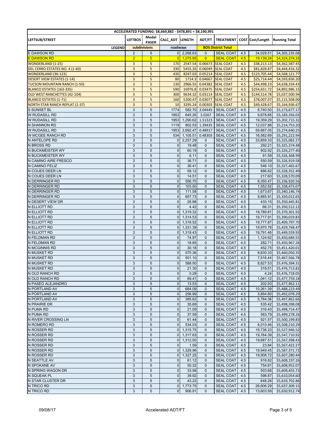| ACCELERATED FUNDING: \$8,669,882 - \$478,891 = \$8,190,991 |                           |                |                                  |                    |                    |                                      |            |                             |                                          |  |
|------------------------------------------------------------|---------------------------|----------------|----------------------------------|--------------------|--------------------|--------------------------------------|------------|-----------------------------|------------------------------------------|--|
| LEFTSUB/STREET                                             | <b>LEFTBOS</b>            | Modal          | CALC_ADT LENGTH                  |                    | ADT/FT             |                                      |            |                             | TREATMENT COST Cost/Length Running Total |  |
|                                                            |                           | <b>PASER</b>   |                                  |                    |                    |                                      |            |                             |                                          |  |
| <b>LEGEND</b>                                              | subdivisions              |                | roadways                         |                    |                    | <b>BOS District Total</b>            |            |                             |                                          |  |
| <b>E DAWSON RD</b>                                         | $\overline{2}$            | 5              |                                  | $0$ 2,268.63       | $\mathbf{0}$       | <b>SEAL COAT</b>                     | 4.5        | 34,029.51                   | \$4,305,235.08                           |  |
| E DAWSON RD                                                | $\overline{2}$            | $\overline{5}$ | 0                                | 1,275.95           | $\overline{0}$     | <b>SEAL COAT</b>                     | 4.5        | 19,139.24                   | \$4,324,374.33                           |  |
| <b>WONDERLAND (1-25)</b><br>DEL CERRO ESTATES NO. 4 (1-60) | 3<br>3                    | 5<br>5         | 170                              | 2547.54<br>5455.26 | 0.06673<br>0.06049 | <b>SEAL COAT</b><br><b>SEAL COAT</b> | 4.5        | \$38,213.13                 | \$4,362,587.45                           |  |
| <b>WONDERLAND (36-123)</b>                                 | 3                         | 5              | 330<br>430                       | 8247.03            | 0.05214            | <b>SEAL COAT</b>                     | 4.5<br>4.5 | \$81,828.87<br>\$123,705.44 | \$4,444,416.32<br>\$4,568,121.77         |  |
| <b>DESERT VIEW ESTATES (1-14)</b>                          | 3                         | 5              | 80                               | 1714.3             | 0.04667            | <b>SEAL COAT</b>                     | 4.5        | \$25,714.44                 | \$4,593,836.20                           |  |
| <b>TUCSON MOUNTAIN RANCH (1-50)</b>                        | $\overline{\mathbf{3}}$   | 5              | 130                              | 2966.55            | 0.04382            | <b>SEAL COAT</b>                     | 4.5        | \$44,498.23                 | \$4,638,334.43                           |  |
| <b>BLANCO ESTATES (163-335)</b>                            | 3                         | 5              | 590                              | 16976.8            | 0.03475            | <b>SEAL COAT</b>                     | 4.5        | \$254,651.72                | \$4,892,986.15                           |  |
| OLD WEST RANCHETTES (42-104)                               | 3                         | 5              | 300                              | 9634.32            | 0.03114            | <b>SEAL COAT</b>                     | 4.5        | \$144,514.78                | \$5,037,500.94                           |  |
| <b>BLANCO ESTATES (1-71)</b>                               | 3                         | 5              | 160                              | 5200.47            | 0.03077            | <b>SEAL COAT</b>                     | 4.5        | \$78,007.07                 | \$5,115,508.00                           |  |
| <b>NORTH STAR RANCH REPLAT (1-37)</b>                      | $\overline{\mathbf{3}}$   | 5              | 10                               | 3295.24            | 0.00303            | <b>SEAL COAT</b>                     | 4.5        | \$49,428.67                 | \$5,164,936.67                           |  |
| <b>S SUNSET BL</b>                                         | 3                         | $\overline{5}$ | 1774                             | 582.70             | 3.04445            | <b>SEAL COAT</b>                     | 4.5        | 8,740.50                    | \$5,173,677.17                           |  |
| W RUDASILL RD                                              | $\ensuremath{\mathsf{3}}$ | 5              | 1953                             | 645.26             | 3.0267             | <b>SEAL COAT</b>                     | 4.5        | 9,678.85                    | \$5,183,356.03                           |  |
| W RUDASILL RD                                              | 3                         | 5              | 1953                             | 1,290.62           | 1.51323            | <b>SEAL COAT</b>                     | 4.5        | 19,359.29                   | \$5,202,715.32                           |  |
| <b>N SHANNON RD</b>                                        | 3                         | 5              | 1119                             | 802.53             | 1.39435            | <b>SEAL COAT</b>                     | 4.5        | 12,037.88                   | \$5,214,753.20                           |  |
| W RUDASILL RD                                              | $\ensuremath{\mathsf{3}}$ | 5              | 1953                             | 3,992.47           | 0.48917            | <b>SEAL COAT</b>                     | 4.5        | 59,887.05                   | \$5,274,640.25                           |  |
| W MCGEE RANCH RD                                           | 3                         | 5              | 534                              | 1,105.51           | 0.48303            | <b>SEAL COAT</b>                     | 4.5        | 16,582.69                   | \$5,291,222.94                           |  |
| N ANTELOPE RD                                              | 3                         | 5              | $\overline{0}$                   | 2,257.29           | 0                  | <b>SEAL COAT</b>                     | 4.5        | 33,859.33                   | \$5,325,082.27                           |  |
| <b>N BROSS RD</b>                                          | 3                         | 5              | $\mathbf 0$                      | 19.48              | 0                  | <b>SEAL COAT</b>                     | 4.5        | 292.21                      | \$5,325,374.48                           |  |
| N BUCKMEISTER WY                                           | 3                         | 5              | $\overline{0}$                   | 60.19              | 0                  | <b>SEAL COAT</b>                     | 4.5        | 902.92                      | \$5,326,277.40                           |  |
| N BUCKMEISTER WY                                           | 3                         | 5              | $\overline{0}$                   | 6.11               | $\mathbf 0$        | <b>SEAL COAT</b>                     | 4.5        | 91.59                       | \$5,326,368.99                           |  |
| N CAMINO AIRE FRESCO                                       | 3                         | 5              | $\mathbf 0$                      | 36.71              | $\mathbf{0}$       | <b>SEAL COAT</b>                     | 4.5        | 550.59                      | \$5,326,919.58                           |  |
| N CAMINO FELIZ                                             | 3                         | 5              | $\mathbf 0$                      | 36.41              | $\mathbf{0}$       | <b>SEAL COAT</b>                     | 4.5        | 546.10                      | \$5,327,465.67                           |  |
| N COUES DEER LN                                            | 3                         | 5              | $\overline{0}$                   | 59.12              | $\mathbf{0}$       | <b>SEAL COAT</b>                     | 4.5        | 886.82                      | \$5,328,352.49                           |  |
| N COUES DEER LN                                            | 3<br>3                    | 5<br>5         | $\overline{0}$<br>$\mathbf 0$    | 14.51<br>556.70    | $\mathbf{0}$<br>0  | <b>SEAL COAT</b><br><b>SEAL COAT</b> | 4.5        | 217.60<br>8,350.47          | \$5,328,570.09<br>\$5,336,920.56         |  |
| N DERRINGER RD<br>N DERRINGER RD                           | 3                         | 5              | $\overline{0}$                   | 103.50             | $\mathbf{0}$       | <b>SEAL COAT</b>                     | 4.5<br>4.5 | 1,552.52                    | \$5,338,473.07                           |  |
| N DERRINGER RD                                             | 3                         | 5              | $\mathbf 0$                      | 111.58             | 0                  | <b>SEAL COAT</b>                     | 4.5        | 1,673.67                    | \$5,340,146.74                           |  |
| N DERRINGER RD                                             | 3                         | 5              | $\overline{0}$                   | 657.73             | $\mathbf{0}$       | <b>SEAL COAT</b>                     | 4.5        | 9,865.91                    | \$5,350,012.65                           |  |
| N DESERT VIEW DR                                           | 3                         | 5              | $\pmb{0}$                        | 28.88              | $\mathbf{0}$       | <b>SEAL COAT</b>                     | 4.5        | 433.15                      | \$5,350,445.81                           |  |
| N ELLIOTT RD                                               | $\ensuremath{\mathsf{3}}$ | 5              | $\overline{0}$                   | 4.42               | $\mathbf 0$        | <b>SEAL COAT</b>                     | 4.5        | 66.31                       | \$5,350,512.12                           |  |
| N ELLIOTT RD                                               | $\ensuremath{\mathsf{3}}$ | 5              | $\overline{0}$                   | 1,319.32           | $\mathbf{0}$       | <b>SEAL COAT</b>                     | 4.5        | 19,789.81                   | \$5,370,301.92                           |  |
| N ELLIOTT RD                                               | 3                         | 5              | $\overline{0}$                   | 1,314.53           | 0                  | <b>SEAL COAT</b>                     | 4.5        | 19,717.91                   | \$5,390,019.83                           |  |
| N ELLIOTT RD                                               | 3                         | 5              | $\overline{0}$                   | 1,318.52           | $\mathbf{0}$       | <b>SEAL COAT</b>                     | 4.5        | 19,777.87                   | \$5,409,797.70                           |  |
| N ELLIOTT RD                                               | 3                         | 5              | $\overline{0}$                   | 1,331.39           | $\mathbf{0}$       | <b>SEAL COAT</b>                     | 4.5        | 19,970.78                   | \$5,429,768.47                           |  |
| N ELLIOTT RD                                               | 3                         | 5              | $\overline{0}$                   | 1,319.43           | $\mathbf{0}$       | <b>SEAL COAT</b>                     | 4.5        | 19,791.46                   | \$5,449,559.93                           |  |
| N FELDMAN RD                                               | 3                         | 5              | $\overline{0}$                   | 74.97              | $\mathbf{0}$       | <b>SEAL COAT</b>                     | 4.5        | 1,124.62                    | \$5,450,684.55                           |  |
| N FELDMAN RD                                               | 3                         | 5              | $\overline{0}$                   | 18.85              | $\mathbf{0}$       | <b>SEAL COAT</b>                     | 4.5        | 282.71                      | \$5,450,967.26                           |  |
| N MCGINNIS RD                                              | 3                         | 5              | $\overline{0}$                   | 30.18              | $\mathbf{0}$       | <b>SEAL COAT</b>                     | 4.5        | 452.75                      | \$5,451,420.01                           |  |
| N MUSKET RD                                                | 3                         | 5              | $\overline{0}$                   | 575.36             | $\mathbf 0$        | <b>SEAL COAT</b>                     | 4.5        | 8,630.33                    | \$5,460,050.35                           |  |
| <b>N MUSKET RD</b>                                         | 3                         | 5              | $\overline{0}$                   | 501.10             | $\mathbf{0}$       | <b>SEAL COAT</b>                     | 4.5        | 7,516.44                    | \$5,467,566.78                           |  |
| N MUSKET RD                                                | 3                         | 5              | $\mathbf{0}$                     | 588.50             | $\mathbf{0}$       | <b>SEAL COAT</b>                     | 4.5        | 8,827.53                    | \$5,476,394.31                           |  |
| N MUSKET RD                                                | 3                         | 5              | $\mathbf 0$                      | 21.30              | $\mathbf{0}$       | <b>SEAL COAT</b>                     | 4.5        | 319.51                      | \$5,476,713.82                           |  |
| N OLD RANCH RD                                             | 3                         | 5              | $\overline{0}$                   | 0.28               | 0                  | <b>SEAL COAT</b>                     | 4.5        |                             | 4.24 \$5,476,718.05                      |  |
| N OLD RANCH RD                                             | 3                         | 5              | $\overline{0}$                   | 69.41              | $\mathbf{0}$       | <b>SEAL COAT</b>                     | 4.5        | 1,041.12                    | \$5,477,759.18                           |  |
| N PASEO ALEJANDRO                                          | 3                         | 5              | $\overline{0}$                   | 13.53              | 0                  | <b>SEAL COAT</b>                     | 4.5        | 202.93                      | \$5,477,962.11                           |  |
| N PORTLAND AV                                              | 3<br>3                    | 5<br>5         | $\overline{0}$                   | 684.09             | 0                  | <b>SEAL COAT</b>                     | 4.5        | 10,261.39                   | \$5,488,223.49                           |  |
| N PORTLAND AV<br>N PORTLAND AV                             | 3                         | 5              | $\overline{0}$<br>$\overline{0}$ | 256.99<br>385.62   | $\mathbf 0$<br>0   | <b>SEAL COAT</b><br><b>SEAL COAT</b> | 4.5<br>4.5 | 3,854.80<br>5,784.36        | \$5,492,078.29                           |  |
| N PRAIRIE DR                                               | 3                         | $\sqrt{5}$     | $\overline{0}$                   | 35.69              | 0                  | <b>SEAL COAT</b>                     | 4.5        | 535.42                      | \$5,497,862.66<br>\$5,498,398.08         |  |
| N PUMA RD                                                  | 3                         | 5              | $\overline{0}$                   | 21.09              | $\mathbf 0$        | <b>SEAL COAT</b>                     | 4.5        | 316.40                      | \$5,498,714.47                           |  |
| N PUMA RD                                                  | 3                         | 5              | $\overline{0}$                   | 37.59              | 0                  | <b>SEAL COAT</b>                     | 4.5        | 563.79                      | \$5,499,278.26                           |  |
| N RIVER CROSSING LN                                        | 3                         | 5              | $\overline{0}$                   | 61.44              | 0                  | <b>SEAL COAT</b>                     | 4.5        | 921.57                      | \$5,500,199.83                           |  |
| N ROMERO RD                                                | 3                         | 5              | $\overline{0}$                   | 534.03             | 0                  | <b>SEAL COAT</b>                     | 4.5        | 8,010.46                    | \$5,508,210.29                           |  |
| N ROSSER RD                                                | 3                         | 5              |                                  | $0$ 1,315.75       | 0                  | <b>SEAL COAT</b>                     | 4.5        | 19,736.23                   | \$5,527,946.52                           |  |
| <b>N ROSSER RD</b>                                         | $\ensuremath{\mathsf{3}}$ | 5              |                                  | 0 1,317.63         | 0                  | <b>SEAL COAT</b>                     | 4.5        | 19,764.39                   | \$5,547,710.92                           |  |
| N ROSSER RD                                                | 3                         | 5              |                                  | $0$ 1,312.50       | 0                  | <b>SEAL COAT</b>                     | 4.5        | 19,687.51                   | \$5,567,398.43                           |  |
| <b>N ROSSER RD</b>                                         | 3                         | 5              | $\overline{0}$                   | 1.59               | 0                  | <b>SEAL COAT</b>                     | 4.5        | 23.84                       | \$5,567,422.27                           |  |
| N ROSSER RD                                                | 3                         | 5              | $\overline{0}$                   | 1,329.96           | 0                  | <b>SEAL COAT</b>                     | 4.5        | 19,949.45                   | \$5,587,371.72                           |  |
| N ROSSER RD                                                | 3                         | 5              |                                  | $0$ 1,327.25       | 0                  | <b>SEAL COAT</b>                     | 4.5        | 19,908.72                   | \$5,607,280.44                           |  |
| <b>N SEATTLE AV</b>                                        | 3                         | 5              | $\overline{0}$                   | 61.12              | 0                  | <b>SEAL COAT</b>                     | 4.5        | 916.82                      | \$5,608,197.26                           |  |
| N SPOKANE AV                                               | 3                         | $\sqrt{5}$     | $\overline{0}$                   | 50.32              | 0                  | <b>SEAL COAT</b>                     | 4.5        | 754.81                      | \$5,608,952.07                           |  |
| N SPRING WAGON DR                                          | 3                         | $\sqrt{5}$     | $\overline{0}$                   | 33.58              | 0                  | <b>SEAL COAT</b>                     | 4.5        | 503.66                      | \$5,609,455.73                           |  |
| N SQUEAK PL                                                | 3                         | $\sqrt{5}$     | $\overline{0}$                   | 39.92              | $\mathbf 0$        | <b>SEAL COAT</b>                     | 4.5        | 598.87                      | \$5,610,054.60                           |  |
| N STAR CLUSTER DR                                          | 3                         | $\sqrt{5}$     | $\overline{0}$                   | 43.22              | $\mathbf 0$        | SEAL COAT                            | 4.5        | 648.26                      | \$5,610,702.86                           |  |
| N TRICO RD                                                 | 3                         | 5              | $\overline{0}$                   | 1,773.75           | 0                  | <b>SEAL COAT</b>                     | 4.5        | 26,606.29                   | \$5,637,309.15                           |  |
| N TRICO RD                                                 | 3                         | 5              | $\Omega$                         | 906.91             | $\mathbf{0}$       | <b>SEAL COAT</b>                     | 4.5        | 13,603.59                   | \$5,650,912.74                           |  |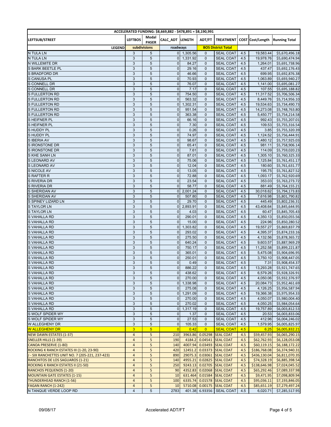| ACCELERATED FUNDING: \$8,669,882 - \$478,891 = \$8,190,991 |                           |                |                 |              |                |                           |     |              |                                          |  |
|------------------------------------------------------------|---------------------------|----------------|-----------------|--------------|----------------|---------------------------|-----|--------------|------------------------------------------|--|
| LEFTSUB/STREET                                             | <b>LEFTBOS</b>            | Modal          | CALC_ADT LENGTH |              | ADT/FT         |                           |     |              | TREATMENT COST Cost/Length Running Total |  |
|                                                            |                           | <b>PASER</b>   |                 |              |                |                           |     |              |                                          |  |
| <b>LEGEND</b>                                              |                           | subdivisions   | roadways        |              |                | <b>BOS District Total</b> |     |              |                                          |  |
| <b>N TULA LN</b>                                           | 3                         | 5              |                 | $0$ 1,305.56 | $\mathbf{0}$   | <b>SEAL COAT</b>          | 4.5 | 19,583.44    | \$5,670,496.18                           |  |
| <b>N TULA LN</b>                                           | 3                         | 5              | $\overline{0}$  | 1,331.92     | 0              | <b>SEAL COAT</b>          | 4.5 | 19,978.76    | \$5,690,474.94                           |  |
| N WILLEMITE DR                                             | 3                         | 5              | $\overline{0}$  | 84.27        | $\mathbf{0}$   | <b>SEAL COAT</b>          | 4.5 | 1,264.01     | \$5,691,738.96                           |  |
| <b>S BARK BEETLE PL</b>                                    | 3                         | 5              | $\mathbf 0$     | 29.16        | $\mathbf{0}$   | <b>SEAL COAT</b>          | 4.5 | 437.47       | \$5,692,176.43                           |  |
| <b>S BRADFORD DR</b>                                       | 3                         | 5              | $\mathbf 0$     | 46.66        | $\mathbf{0}$   | <b>SEAL COAT</b>          | 4.5 | 699.95       | \$5,692,876.38                           |  |
| S CANUSA PL                                                | $\ensuremath{\mathsf{3}}$ | 5              | $\mathbf 0$     | 70.93        | $\mathbf{0}$   | <b>SEAL COAT</b>          | 4.5 | 1,063.89     | \$5,693,940.27                           |  |
| S CONNELL DR                                               | 3                         | 5              | $\overline{0}$  | 76.07        | $\mathbf{0}$   | <b>SEAL COAT</b>          | 4.5 | 1,141.00     | \$5,695,081.27                           |  |
| <b>S CONNELL DR</b>                                        | 3                         | 5              | $\overline{0}$  | 7.17         | $\mathbf{0}$   | <b>SEAL COAT</b>          | 4.5 | 107.55       | \$5,695,188.82                           |  |
| <b>S FULLERTON RD</b>                                      | 3                         | 5              | $\mathbf 0$     | 754.50       | $\mathbf 0$    | <b>SEAL COAT</b>          | 4.5 | 11,317.52    | \$5,706,506.34                           |  |
| <b>S FULLERTON RD</b>                                      | 3                         | 5              | $\Omega$        | 563.32       | $\mathbf{0}$   | <b>SEAL COAT</b>          | 4.5 | 8,449.76     | \$5,714,956.10                           |  |
| <b>S FULLERTON RD</b>                                      | 3                         | 5              | $\overline{0}$  | 1,302.31     | $\mathbf{0}$   | <b>SEAL COAT</b>          | 4.5 | 19,534.63    | \$5,734,490.73                           |  |
| <b>S FULLERTON RD</b>                                      | 3                         | $\overline{5}$ | $\mathbf{0}$    | 951.54       | $\mathbf{0}$   | <b>SEAL COAT</b>          | 4.5 | 14,273.08    | \$5,748,763.80                           |  |
| S FULLERTON RD                                             | 3                         | 5              | $\mathbf 0$     | 363.38       | 0              | <b>SEAL COAT</b>          | 4.5 | 5,450.77     | \$5,754,214.58                           |  |
| S HEIFNER PL                                               | 3                         | 5              | $\mathbf 0$     | 66.16        | 0              | <b>SEAL COAT</b>          | 4.5 | 992.43       | \$5,755,207.01                           |  |
| S HEIFNER PL                                               | 3                         | 5              | $\overline{0}$  | 7.30         | $\mathbf{0}$   | <b>SEAL COAT</b>          | 4.5 | 109.53       | \$5,755,316.54                           |  |
| S HUDDY PL                                                 | 3                         | 5              | $\mathbf 0$     | 0.26         | 0              | <b>SEAL COAT</b>          | 4.5 | 3.85         | \$5,755,320.39                           |  |
| S HUDDY PL                                                 | 3                         | 5              | $\pmb{0}$       | 74.97        | $\mathbf{0}$   | <b>SEAL COAT</b>          | 4.5 | 1,124.52     | \$5,756,444.91                           |  |
| S IBERIA AV                                                | 3                         | 5              | $\mathbf 0$     | 98.67        | $\mathbf{0}$   | <b>SEAL COAT</b>          | 4.5 | 1,480.12     | \$5,757,925.03                           |  |
| S IRONSTONE DR                                             | 3                         | 5              | $\mathbf 0$     | 65.41        | 0              | <b>SEAL COAT</b>          | 4.5 | 981.11       | \$5,758,906.14                           |  |
| S IRONSTONE DR                                             | $\ensuremath{\mathsf{3}}$ | 5              | $\mathbf 0$     | 7.61         | $\mathbf{0}$   | <b>SEAL COAT</b>          | 4.5 | 114.09       | \$5,759,020.23                           |  |
| S KHE SANH LN                                              | 3                         | $\sqrt{5}$     | $\overline{0}$  | 87.01        | 0              | <b>SEAL COAT</b>          | 4.5 | 1,305.10     | \$5,760,325.33                           |  |
| S LEONARD AV                                               | 3                         | 5              | $\mathbf 0$     | 75.06        | $\mathbf{0}$   | <b>SEAL COAT</b>          | 4.5 | 1,125.84     | \$5,761,451.17                           |  |
| S LEONARD AV                                               | 3                         | 5              | $\mathbf 0$     | 12.04        | $\mathbf{0}$   | <b>SEAL COAT</b>          | 4.5 | 180.60       | \$5,761,631.77                           |  |
| S NICOLE AV                                                | 3                         | 5              | $\mathbf{0}$    | 13.05        | $\mathbf{0}$   | <b>SEAL COAT</b>          | 4.5 | 195.75       | \$5,761,827.52                           |  |
| <b>S RAFTER R</b>                                          | 3                         | 5              | $\mathbf 0$     | 72.88        | $\mathbf{0}$   | <b>SEAL COAT</b>          | 4.5 | 1,093.17     | \$5,762,920.69                           |  |
| S RIVERIA DR                                               | 3                         | 5              | $\overline{0}$  | 23.54        | 0              | <b>SEAL COAT</b>          | 4.5 | 353.03       | \$5,763,273.72                           |  |
| <b>S RIVERIA DR</b>                                        | 3                         | 5              | $\overline{0}$  | 58.77        | $\mathbf{0}$   | <b>SEAL COAT</b>          | 4.5 | 881.49       | \$5,764,155.21                           |  |
| S SHERIDAN AV                                              | 3                         | 5              | $\overline{0}$  | 2,001.24     | 0              | <b>SEAL COAT</b>          | 4.5 | 30,018.62    | \$5,794,173.83                           |  |
| S SHERIDAN AV                                              | 3                         | 5              | $\overline{0}$  | 507.80       | $\mathbf{0}$   | <b>SEAL COAT</b>          | 4.5 | 7,616.98     | \$5,801,790.82                           |  |
| S SPINEY LIZARD LN                                         | 3                         | 5              | $\mathbf 0$     | 29.70        | $\mathbf{0}$   | <b>SEAL COAT</b>          | 4.5 | 445.49       | \$5,802,236.31                           |  |
| <b>STAYLOR LN</b>                                          | 3                         | $\overline{5}$ | $\overline{0}$  | 2,893.91     | $\mathbf{0}$   | <b>SEAL COAT</b>          | 4.5 | 43,408.64    | \$5,845,644.95                           |  |
| <b>STAYLOR LN</b>                                          | $\ensuremath{\mathsf{3}}$ | 5              | $\overline{0}$  | 4.03         | $\mathbf{0}$   | <b>SEAL COAT</b>          | 4.5 | 60.47        | \$5,845,705.43                           |  |
| S VAHALLA RD                                               | 3                         | 5              | $\overline{0}$  | 290.01       | 0              | <b>SEAL COAT</b>          | 4.5 | 4,350.13     | \$5,850,055.56                           |  |
| S VAHALLA RD                                               | 3                         | 5              | $\overline{0}$  | 15.00        | $\mathbf{0}$   | <b>SEAL COAT</b>          | 4.5 | 224.96       | \$5,850,280.52                           |  |
| S VAHALLA RD                                               | $\ensuremath{\mathsf{3}}$ | 5              | $\overline{0}$  | 1,303.82     | $\mathbf{0}$   | <b>SEAL COAT</b>          | 4.5 | 19,557.27    | \$5,869,837.79                           |  |
| S VAHALLA RD                                               | 3                         | 5              | $\mathbf{0}$    | 293.02       | $\mathbf{0}$   | <b>SEAL COAT</b>          | 4.5 | 4,395.37     | \$5,874,233.16                           |  |
| S VAHALLA RD                                               | $\ensuremath{\mathsf{3}}$ | 5              | $\overline{0}$  | 275.50       | $\mathbf{0}$   | <b>SEAL COAT</b>          | 4.5 | 4,132.56     | \$5,878,365.72                           |  |
| S VAHALLA RD                                               | 3                         | 5              | $\mathbf 0$     | 640.24       | $\mathbf{0}$   | <b>SEAL COAT</b>          | 4.5 | 9,603.57     | \$5,887,969.29                           |  |
| S VAHALLA RD                                               | 3                         | 5              | $\mathbf 0$     | 750.17       | $\mathbf{0}$   | <b>SEAL COAT</b>          | 4.5 | 11,252.58    | \$5,899,221.87                           |  |
| S VAHALLA RD                                               | 3                         | $\sqrt{5}$     | $\mathbf 0$     | 365.01       | $\mathbf 0$    | <b>SEAL COAT</b>          | 4.5 | 5,475.08     | \$5,904,696.95                           |  |
| S VAHALLA RD                                               | 3                         | 5              | $\mathbf{0}$    | 250.01       | $\mathbf{0}$   | <b>SEAL COAT</b>          | 4.5 | 3,750.10     | \$5,908,447.05                           |  |
| <b>VAHALLA RD</b>                                          | 3                         | 5              | $\mathbf 0$     | 0.49         | 0              | <b>SEAL COAT</b>          | 4.5 | 7.31         | \$5,908,454.37                           |  |
| S VAHALLA RD                                               | 3                         | 5              | $\overline{0}$  | 886.22       | $\mathbf{0}$   | <b>SEAL COAT</b>          | 4.5 | 13,293.28    | \$5,921,747.65                           |  |
| <b>S VAHALLA RD</b>                                        | 3                         | 5              | $\overline{0}$  | 438.62       | 0              | <b>SEAL COAT</b>          | 4.5 |              | 6,579.26 \$5,928,326.91                  |  |
| S VAHALLA RD                                               | 3                         | 5              | $\overline{0}$  | 270.00       | 0              | <b>SEAL COAT</b>          | 4.5 | 4,050.06     | \$5,932,376.97                           |  |
| S VAHALLA RD                                               | 3                         | 5              | $\overline{0}$  | 1.338.98     | 0              | <b>SEAL COAT</b>          | 4.5 | 20,084.73    | \$5,952,461.69                           |  |
| S VAHALLA RD                                               | 3                         | 5              | 0               | 275.08       | 0              | <b>SEAL COAT</b>          | 4.5 | 4,126.25     | \$5,956,587.94                           |  |
| S VAHALLA RD                                               | 3                         | 5              | $\overline{0}$  | 1,291.09     | $\mathbf{0}$   | <b>SEAL COAT</b>          | 4.5 | 19,366.38    | \$5,975,954.33                           |  |
| S VAHALLA RD                                               | 3                         | 5              | $\overline{0}$  | 270.00       | $\mathbf{0}$   | <b>SEAL COAT</b>          | 4.5 | 4,050.07     | \$5,980,004.40                           |  |
| S VAHALLA RD                                               | 3                         | 5              | $\overline{0}$  | 270.02       | 0              | <b>SEAL COAT</b>          | 4.5 | 4,050.25     | \$5,984,054.64                           |  |
| S VAHALLA RD                                               | $\mathsf 3$               | 5              | $\overline{0}$  | 1,317.19     | 0              | <b>SEAL COAT</b>          | 4.5 | 19,757.89    | \$6,003,812.53                           |  |
| S WOLF SPIDER WY                                           | 3                         | 5              | $\overline{0}$  | 1.37         | 0              | <b>SEAL COAT</b>          | 4.5 | 20.53        | \$6,003,833.06                           |  |
| S WOLF SPIDER WY                                           | 3                         | 5              | $\overline{0}$  | 27.53        | 0              | <b>SEAL COAT</b>          | 4.5 | 412.96       | \$6,004,246.02                           |  |
| W ALLEGHENY DR                                             | 3                         | 5              | $\overline{0}$  | 105.33       | $\mathbf{0}$   | <b>SEAL COAT</b>          | 4.5 | 1,579.95     | \$6,005,825.97                           |  |
| <b>W ALLEGHENY DR</b>                                      | 3 <sup>1</sup>            | 5 <sup>5</sup> | $\overline{0}$  | 0.42         | $\overline{0}$ | <b>SEAL COAT</b>          | 4.5 | 6.25         | \$6,005,832.21                           |  |
| <b>NEW DAWN ESTATES (1-37)</b>                             | $\overline{a}$            | 5              | 210             | 3963.86      |                | 0.05298 SEAL COAT         | 4.5 | \$59,457.93  | \$6,065,290.15                           |  |
| <b>SNELLER HILLS (1-39)</b>                                | $\overline{4}$            | 5              | 190             | 4184.2       |                | 0.04541 SEAL COAT         | 4.5 | \$62,762.93  | \$6,128,053.08                           |  |
| CANOA PRESERVE (1-80)                                      | $\overline{\mathbf{4}}$   | 5              | 140             | 4007.94      |                | 0.03493 SEAL COAT         | 4.5 | \$60,119.15  | \$6,188,172.22                           |  |
| ROCKING K RANCH ESTATES III (1-20, 23-90)                  | $\overline{4}$            | 5              | 420             | 12451.2      |                | 0.03373 SEAL COAT         | 4.5 | \$186,768.08 | \$6,374,940.31                           |  |
| J - SIX RANCHETTES UNIT NO. 7 (205-221, 237-423)           | $\overline{4}$            | 5              | 890             | 29075.3      |                | 0.03061 SEAL COAT         | 4.5 | \$436,130.04 | \$6,811,070.35                           |  |
| <b>RANCHITOS DE LOS SAGUAROS (1-21)</b>                    | $\overline{\mathbf{4}}$   | 5              | 140             | 4955.21      |                | 0.02825 SEAL COAT         | 4.5 | \$74,328.19  | \$6,885,398.54                           |  |
| ROCKING K RANCH ESTATES II (21-50)                         | $\overline{4}$            | 5              | 250             | 9243.13      |                | 0.02705 SEAL COAT         | 4.5 | \$138,646.98 | \$7,024,045.52                           |  |
| <b>RANCHOS PEQUENOS (1-20)</b>                             | $\overline{4}$            | 5              | 90              | 4352.83      |                | 0.02068 SEAL COAT         | 4.5 | \$65,292.46  | \$7,089,337.98                           |  |
| <b>MOUNTAIN GATE ESTATES (1-15)</b>                        | $\overline{4}$            | 5              | 10              | 631.464      |                | 0.01584 SEAL COAT         | 4.5 | \$9,471.95   | \$7,098,809.94                           |  |
| <b>THUNDERHEAD RANCH (1-56)</b>                            | $\overline{\mathbf{4}}$   | 5              | 100             | 6335.74      |                | 0.01578 SEAL COAT         | 4.5 | \$95,036.11  | \$7,193,846.05                           |  |
| FAGAN RANCH (1-242)                                        | $\overline{4}$            | 5              | 10              | 5710.08      |                | 0.00175 SEAL COAT         | 4.5 | \$85,651.19  | \$7,279,497.24                           |  |
| N TANQUE VERDE LOOP RD                                     | $\overline{4}$            | 5              | 2783            | 401.38       |                | 6.93356   SEAL COAT       | 4.5 | 6,020.71     | \$7,285,517.95                           |  |